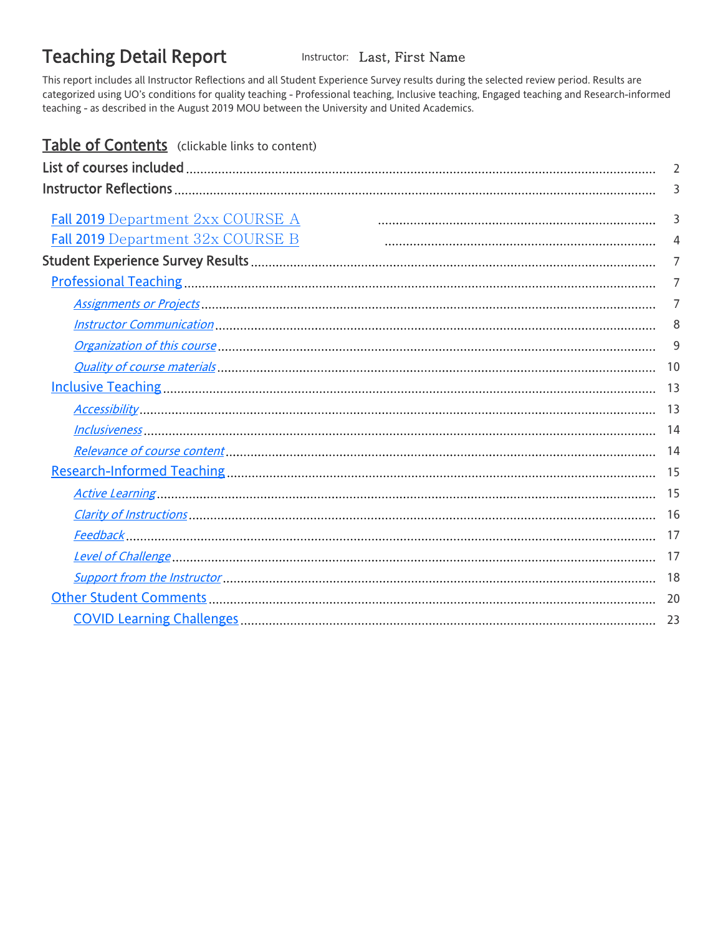# <span id="page-0-0"></span>Teaching Detail Report Instructor: Last, First Name

This report includes all Instructor Reflections and all Student Experience Survey results during the selected review period. Results are categorized using UO's conditions for quality teaching - Professional teaching, Inclusive teaching, Engaged teaching and Research-informed teaching - as described in the August 2019 MOU between the University and United Academics.

| Table of Contents (clickable links to content) |                |
|------------------------------------------------|----------------|
|                                                | $\overline{2}$ |
|                                                | 3              |
| Fall 2019 Department 2xx COURSE A              | 3              |
| Fall 2019 Department 32x COURSE B              | 4              |
|                                                | $\overline{7}$ |
|                                                |                |
|                                                | $\overline{7}$ |
|                                                | 7              |
|                                                | 8              |
|                                                | 9              |
|                                                | 10             |
|                                                | 13             |
|                                                | 13             |
|                                                | 14             |
|                                                | 14             |
|                                                | 15             |
|                                                | 15             |
|                                                |                |
|                                                | 17             |
|                                                | 17             |
|                                                | 18             |
|                                                | 20             |
|                                                | 23             |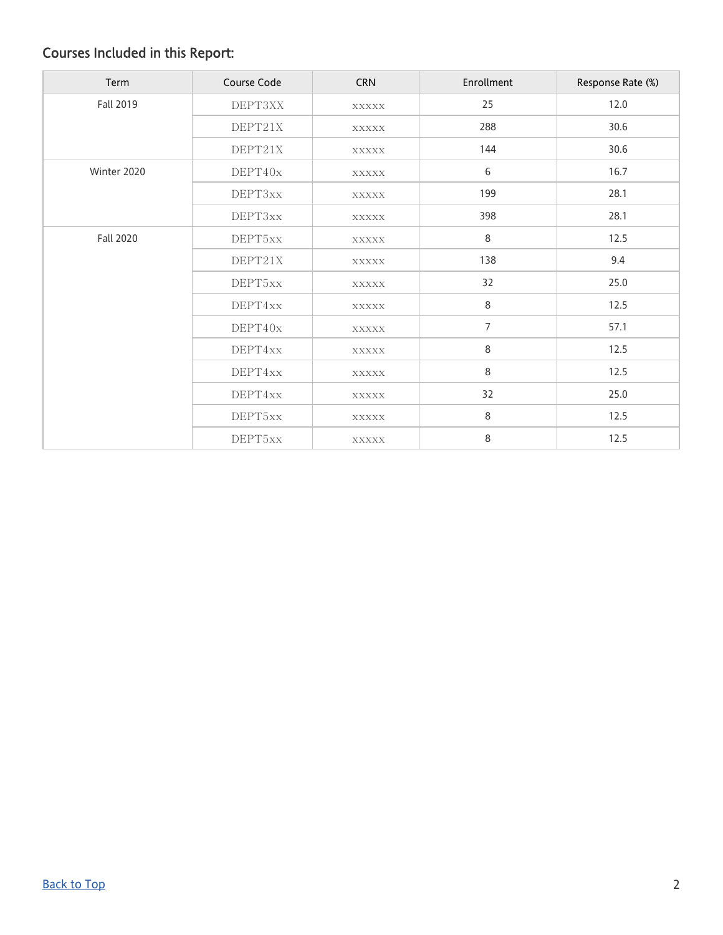# <span id="page-1-0"></span>Courses Included in this Report:

| Term             | Course Code | <b>CRN</b>   | Enrollment     | Response Rate (%) |
|------------------|-------------|--------------|----------------|-------------------|
| Fall 2019        | DEPT3XX     | XXXXX        | 25             | 12.0              |
|                  | DEPT21X     | XXXXX        | 288            | 30.6              |
|                  | DEPT21X     | <b>XXXXX</b> | 144            | 30.6              |
| Winter 2020      | DEPT40x     | <b>XXXXX</b> | 6              | 16.7              |
|                  | DEPT3xx     | XXXXX        | 199            | 28.1              |
|                  | DEPT3xx     | XXXXX        | 398            | 28.1              |
| <b>Fall 2020</b> | DEPT5xx     | XXXXX        | 8              | 12.5              |
|                  | DEPT21X     | XXXXX        | 138            | 9.4               |
|                  | DEPT5xx     | XXXXX        | 32             | 25.0              |
|                  | DEPT4xx     | <b>XXXXX</b> | 8              | 12.5              |
|                  | DEPT40x     | XXXXX        | $\overline{7}$ | 57.1              |
|                  | DEPT4xx     | XXXXX        | 8              | 12.5              |
|                  | DEPT4xx     | <b>XXXXX</b> | 8              | 12.5              |
|                  | DEPT4xx     | XXXXX        | 32             | 25.0              |
|                  | DEPT5xx     | XXXXX        | 8              | 12.5              |
|                  | DEPT5xx     | <b>XXXXX</b> | 8              | 12.5              |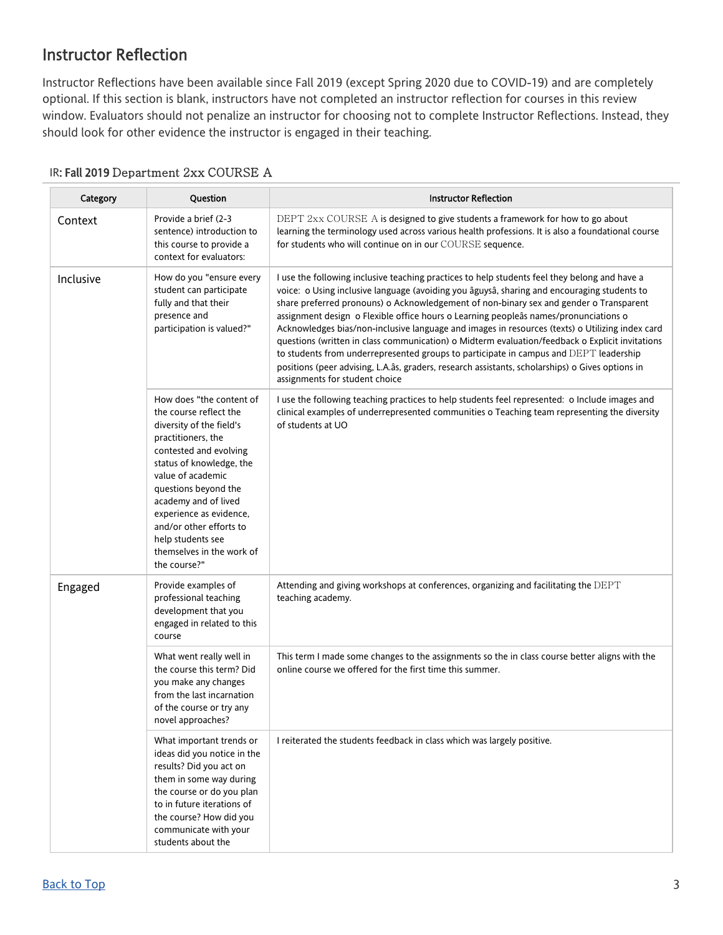## <span id="page-2-0"></span>Instructor Reflection

Instructor Reflections have been available since Fall 2019 (except Spring 2020 due to COVID-19) and are completely optional. If this section is blank, instructors have not completed an instructor reflection for courses in this review window. Evaluators should not penalize an instructor for choosing not to complete Instructor Reflections. Instead, they should look for other evidence the instructor is engaged in their teaching.

| Category                                                                                                                                                                                                                                                                                                                                                | Question                                                                                                                                                                                                                                           | <b>Instructor Reflection</b>                                                                                                                                                                                                                                                                                                                                                                                                                                                                                                                                                                                                                                                                                                                                                                                        |
|---------------------------------------------------------------------------------------------------------------------------------------------------------------------------------------------------------------------------------------------------------------------------------------------------------------------------------------------------------|----------------------------------------------------------------------------------------------------------------------------------------------------------------------------------------------------------------------------------------------------|---------------------------------------------------------------------------------------------------------------------------------------------------------------------------------------------------------------------------------------------------------------------------------------------------------------------------------------------------------------------------------------------------------------------------------------------------------------------------------------------------------------------------------------------------------------------------------------------------------------------------------------------------------------------------------------------------------------------------------------------------------------------------------------------------------------------|
| Context                                                                                                                                                                                                                                                                                                                                                 | Provide a brief (2-3<br>sentence) introduction to<br>this course to provide a<br>context for evaluators:                                                                                                                                           | DEPT 2xx COURSE A is designed to give students a framework for how to go about<br>learning the terminology used across various health professions. It is also a foundational course<br>for students who will continue on in our COURSE sequence.                                                                                                                                                                                                                                                                                                                                                                                                                                                                                                                                                                    |
| Inclusive                                                                                                                                                                                                                                                                                                                                               | How do you "ensure every<br>student can participate<br>fully and that their<br>presence and<br>participation is valued?"                                                                                                                           | I use the following inclusive teaching practices to help students feel they belong and have a<br>voice: o Using inclusive language (avoiding you âguysâ, sharing and encouraging students to<br>share preferred pronouns) o Acknowledgement of non-binary sex and gender o Transparent<br>assignment design o Flexible office hours o Learning peopleâs names/pronunciations o<br>Acknowledges bias/non-inclusive language and images in resources (texts) o Utilizing index card<br>questions (written in class communication) o Midterm evaluation/feedback o Explicit invitations<br>to students from underrepresented groups to participate in campus and DEPT leadership<br>positions (peer advising, L.A.âs, graders, research assistants, scholarships) o Gives options in<br>assignments for student choice |
| How does "the content of<br>the course reflect the<br>diversity of the field's<br>practitioners, the<br>contested and evolving<br>status of knowledge, the<br>value of academic<br>questions beyond the<br>academy and of lived<br>experience as evidence,<br>and/or other efforts to<br>help students see<br>themselves in the work of<br>the course?" |                                                                                                                                                                                                                                                    | I use the following teaching practices to help students feel represented: o Include images and<br>clinical examples of underrepresented communities o Teaching team representing the diversity<br>of students at UO                                                                                                                                                                                                                                                                                                                                                                                                                                                                                                                                                                                                 |
| Engaged                                                                                                                                                                                                                                                                                                                                                 | Provide examples of<br>professional teaching<br>development that you<br>engaged in related to this<br>course                                                                                                                                       | Attending and giving workshops at conferences, organizing and facilitating the DEPT<br>teaching academy.                                                                                                                                                                                                                                                                                                                                                                                                                                                                                                                                                                                                                                                                                                            |
|                                                                                                                                                                                                                                                                                                                                                         | What went really well in<br>the course this term? Did<br>you make any changes<br>from the last incarnation<br>of the course or try any<br>novel approaches?                                                                                        | This term I made some changes to the assignments so the in class course better aligns with the<br>online course we offered for the first time this summer.                                                                                                                                                                                                                                                                                                                                                                                                                                                                                                                                                                                                                                                          |
|                                                                                                                                                                                                                                                                                                                                                         | What important trends or<br>ideas did you notice in the<br>results? Did you act on<br>them in some way during<br>the course or do you plan<br>to in future iterations of<br>the course? How did you<br>communicate with your<br>students about the | I reiterated the students feedback in class which was largely positive.                                                                                                                                                                                                                                                                                                                                                                                                                                                                                                                                                                                                                                                                                                                                             |

#### <span id="page-2-1"></span>IR: Fall 2019 Department 2xx COURSE A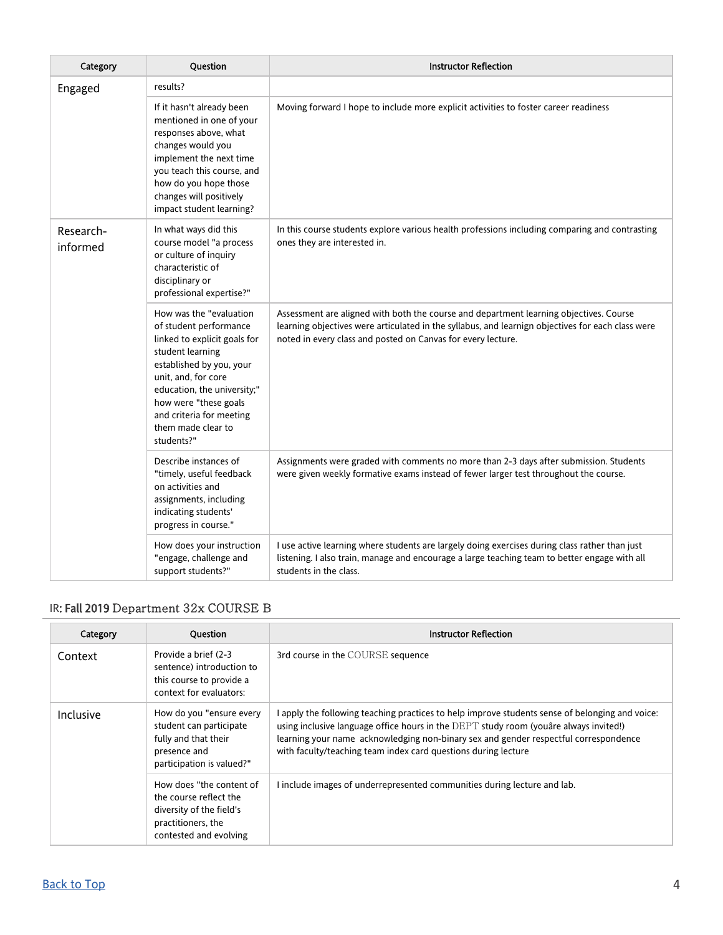| Category              | Question                                                                                                                                                                                                                                                                         | <b>Instructor Reflection</b>                                                                                                                                                                                                                                |
|-----------------------|----------------------------------------------------------------------------------------------------------------------------------------------------------------------------------------------------------------------------------------------------------------------------------|-------------------------------------------------------------------------------------------------------------------------------------------------------------------------------------------------------------------------------------------------------------|
| Engaged               | results?                                                                                                                                                                                                                                                                         |                                                                                                                                                                                                                                                             |
|                       | If it hasn't already been<br>mentioned in one of your<br>responses above, what<br>changes would you<br>implement the next time<br>you teach this course, and<br>how do you hope those<br>changes will positively<br>impact student learning?                                     | Moving forward I hope to include more explicit activities to foster career readiness                                                                                                                                                                        |
| Research-<br>informed | In what ways did this<br>course model "a process<br>or culture of inquiry<br>characteristic of<br>disciplinary or<br>professional expertise?"                                                                                                                                    | In this course students explore various health professions including comparing and contrasting<br>ones they are interested in.                                                                                                                              |
|                       | How was the "evaluation<br>of student performance<br>linked to explicit goals for<br>student learning<br>established by you, your<br>unit, and, for core<br>education, the university;"<br>how were "these goals<br>and criteria for meeting<br>them made clear to<br>students?" | Assessment are aligned with both the course and department learning objectives. Course<br>learning objectives were articulated in the syllabus, and learnign objectives for each class were<br>noted in every class and posted on Canvas for every lecture. |
|                       | Describe instances of<br>"timely, useful feedback<br>on activities and<br>assignments, including<br>indicating students'<br>progress in course."                                                                                                                                 | Assignments were graded with comments no more than 2-3 days after submission. Students<br>were given weekly formative exams instead of fewer larger test throughout the course.                                                                             |
|                       | How does your instruction<br>"engage, challenge and<br>support students?"                                                                                                                                                                                                        | I use active learning where students are largely doing exercises during class rather than just<br>listening. I also train, manage and encourage a large teaching team to better engage with all<br>students in the class.                                   |

### <span id="page-3-0"></span>IR: Fall 2019 Department 32x COURSE B

| Category                                                                                                                              | <b>Ouestion</b>                                                                                                                | <b>Instructor Reflection</b>                                                                                                                                                                                                                                                                                                                     |
|---------------------------------------------------------------------------------------------------------------------------------------|--------------------------------------------------------------------------------------------------------------------------------|--------------------------------------------------------------------------------------------------------------------------------------------------------------------------------------------------------------------------------------------------------------------------------------------------------------------------------------------------|
| Context                                                                                                                               | Provide a brief (2-3)<br>sentence) introduction to<br>this course to provide a<br>context for evaluators:                      | 3rd course in the COURSE sequence                                                                                                                                                                                                                                                                                                                |
| How do you "ensure every<br>Inclusive<br>student can participate<br>fully and that their<br>presence and<br>participation is valued?" |                                                                                                                                | apply the following teaching practices to help improve students sense of belonging and voice:<br>using inclusive language office hours in the DEPT study room (youare always invited!)<br>learning your name acknowledging non-binary sex and gender respectful correspondence<br>with faculty/teaching team index card questions during lecture |
|                                                                                                                                       | How does "the content of<br>the course reflect the<br>diversity of the field's<br>practitioners, the<br>contested and evolving | I include images of underrepresented communities during lecture and lab.                                                                                                                                                                                                                                                                         |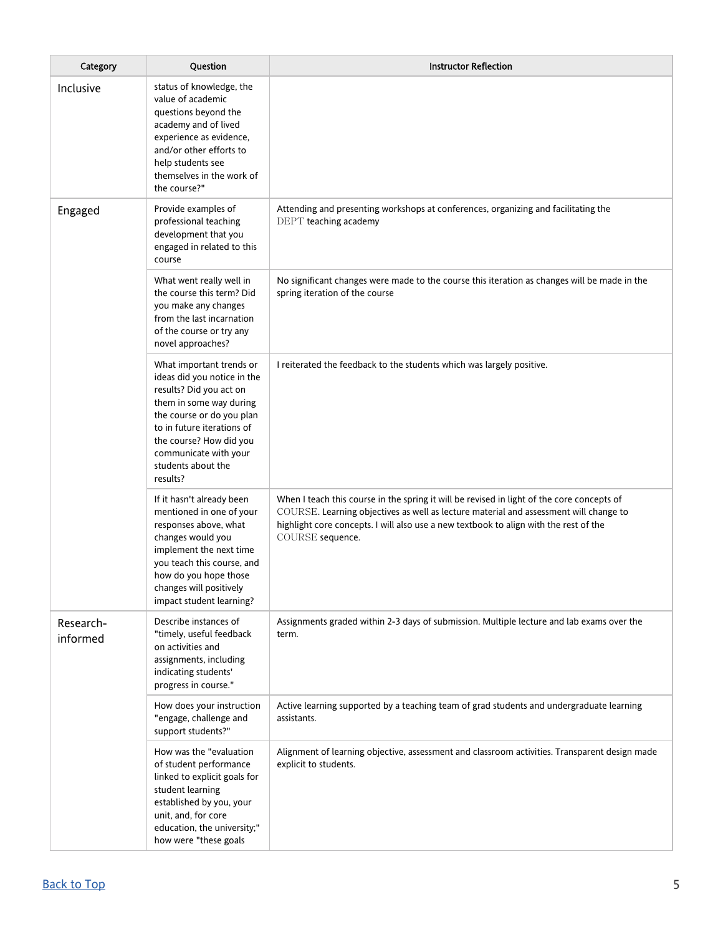| Category              | Question                                                                                                                                                                                                                                                       | <b>Instructor Reflection</b>                                                                                                                                                                                                                                                                     |  |  |  |
|-----------------------|----------------------------------------------------------------------------------------------------------------------------------------------------------------------------------------------------------------------------------------------------------------|--------------------------------------------------------------------------------------------------------------------------------------------------------------------------------------------------------------------------------------------------------------------------------------------------|--|--|--|
| Inclusive             | status of knowledge, the<br>value of academic<br>questions beyond the<br>academy and of lived<br>experience as evidence,<br>and/or other efforts to<br>help students see<br>themselves in the work of<br>the course?"                                          |                                                                                                                                                                                                                                                                                                  |  |  |  |
| Engaged               | Provide examples of<br>professional teaching<br>development that you<br>engaged in related to this<br>course                                                                                                                                                   | Attending and presenting workshops at conferences, organizing and facilitating the<br>DEPT teaching academy                                                                                                                                                                                      |  |  |  |
|                       | What went really well in<br>the course this term? Did<br>you make any changes<br>from the last incarnation<br>of the course or try any<br>novel approaches?                                                                                                    | No significant changes were made to the course this iteration as changes will be made in the<br>spring iteration of the course                                                                                                                                                                   |  |  |  |
|                       | What important trends or<br>ideas did you notice in the<br>results? Did you act on<br>them in some way during<br>the course or do you plan<br>to in future iterations of<br>the course? How did you<br>communicate with your<br>students about the<br>results? | I reiterated the feedback to the students which was largely positive.                                                                                                                                                                                                                            |  |  |  |
|                       | If it hasn't already been<br>mentioned in one of your<br>responses above, what<br>changes would you<br>implement the next time<br>you teach this course, and<br>how do you hope those<br>changes will positively<br>impact student learning?                   | When I teach this course in the spring it will be revised in light of the core concepts of<br>COURSE. Learning objectives as well as lecture material and assessment will change to<br>highlight core concepts. I will also use a new textbook to align with the rest of the<br>COURSE sequence. |  |  |  |
| Research-<br>informed | Describe instances of<br>"timely, useful feedback<br>on activities and<br>assignments, including<br>indicating students'<br>progress in course."                                                                                                               | Assignments graded within 2-3 days of submission. Multiple lecture and lab exams over the<br>term.                                                                                                                                                                                               |  |  |  |
|                       | How does your instruction<br>"engage, challenge and<br>support students?"                                                                                                                                                                                      | Active learning supported by a teaching team of grad students and undergraduate learning<br>assistants.                                                                                                                                                                                          |  |  |  |
|                       | How was the "evaluation<br>of student performance<br>linked to explicit goals for<br>student learning<br>established by you, your<br>unit, and, for core<br>education, the university;"<br>how were "these goals                                               | Alignment of learning objective, assessment and classroom activities. Transparent design made<br>explicit to students.                                                                                                                                                                           |  |  |  |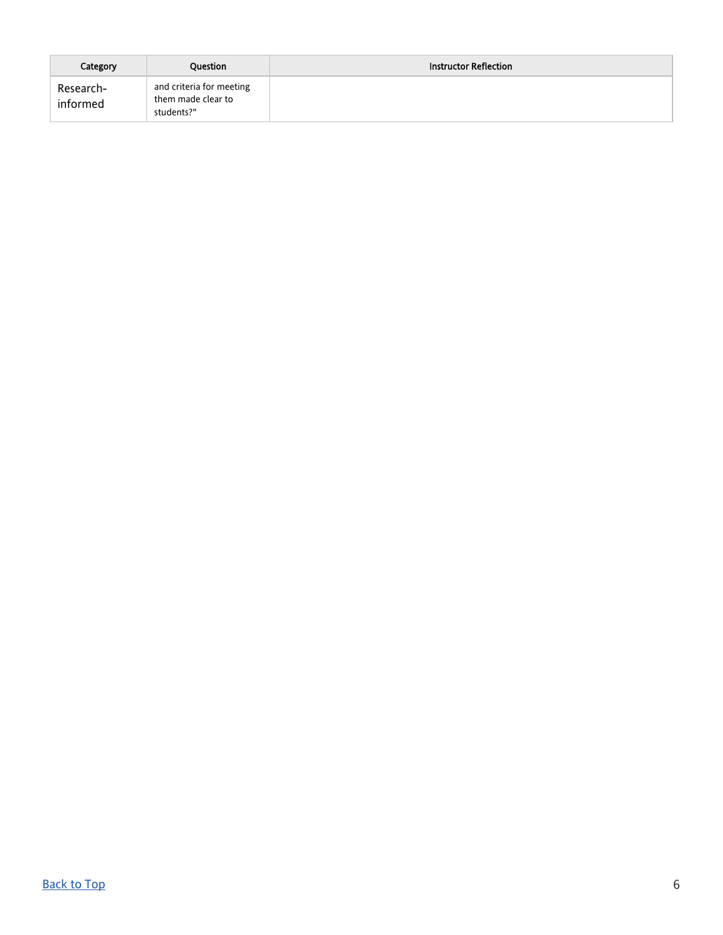| Category              | Question                                                     | <b>Instructor Reflection</b> |
|-----------------------|--------------------------------------------------------------|------------------------------|
| Research-<br>informed | and criteria for meeting<br>them made clear to<br>students?" |                              |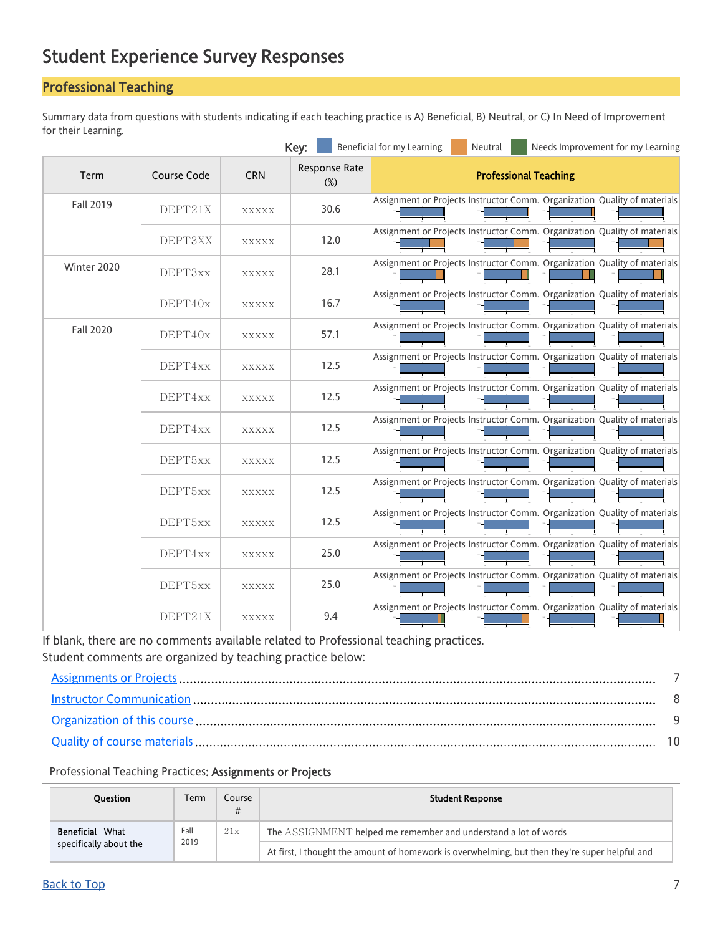# <span id="page-6-0"></span>Student Experience Survey Responses

## <span id="page-6-1"></span>Professional Teaching

Summary data from questions with students indicating if each teaching practice is A) Beneficial, B) Neutral, or C) In Need of Improvement for their Learning.

|                  |             |              | Key:                    | Beneficial for my Learning<br>Needs Improvement for my Learning<br>Neutral |
|------------------|-------------|--------------|-------------------------|----------------------------------------------------------------------------|
| Term             | Course Code | <b>CRN</b>   | Response Rate<br>$(\%)$ | <b>Professional Teaching</b>                                               |
| <b>Fall 2019</b> | DEPT21X     | <b>XXXXX</b> | 30.6                    | Assignment or Projects Instructor Comm. Organization Quality of materials  |
|                  | DEPT3XX     | XXXXX        | 12.0                    | Assignment or Projects Instructor Comm. Organization Quality of materials  |
| Winter 2020      | DEPT3xx     | <b>XXXXX</b> | 28.1                    | Assignment or Projects Instructor Comm. Organization Quality of materials  |
|                  | DEFT40x     | <b>XXXXX</b> | 16.7                    | Assignment or Projects Instructor Comm. Organization Quality of materials  |
| <b>Fall 2020</b> | DEPT40x     | XXXXX        | 57.1                    | Assignment or Projects Instructor Comm. Organization Quality of materials  |
|                  | DEPT4xx     | <b>XXXXX</b> | 12.5                    | Assignment or Projects Instructor Comm. Organization Quality of materials  |
|                  | DEPT4xx     | XXXXX        | 12.5                    | Assignment or Projects Instructor Comm. Organization Quality of materials  |
|                  | DEPT4xx     | <b>XXXXX</b> | 12.5                    | Assignment or Projects Instructor Comm. Organization Quality of materials  |
|                  | DEPT5xx     | <b>XXXXX</b> | 12.5                    | Assignment or Projects Instructor Comm. Organization Quality of materials  |
|                  | DEPT5xx     | XXXXX        | 12.5                    | Assignment or Projects Instructor Comm. Organization Quality of materials  |
|                  | DEPT5xx     | <b>XXXXX</b> | 12.5                    | Assignment or Projects Instructor Comm. Organization Quality of materials  |
|                  | DEPT4xx     | XXXXX        | 25.0                    | Assignment or Projects Instructor Comm. Organization Quality of materials  |
|                  | DEPT5xx     | <b>XXXXX</b> | 25.0                    | Assignment or Projects Instructor Comm. Organization Quality of materials  |
|                  | DEPT21X     | <b>XXXXX</b> | 9.4                     | Assignment or Projects Instructor Comm. Organization Quality of materials  |

If blank, there are no comments available related to Professional teaching practices. Student comments are organized by teaching practice below:

0% 50% 100%

0% 50% 100%

0% 50% 100%

0% 50% 100%

#### <span id="page-6-2"></span>Professional Teaching Practices: Assignments or Projects

| <b>Ouestion</b>        | Term        | Course<br># | <b>Student Response</b>                                                                        |
|------------------------|-------------|-------------|------------------------------------------------------------------------------------------------|
| Beneficial<br>What     | Fall<br>21x |             | The ASSIGNMENT helped me remember and understand a lot of words                                |
| specifically about the |             | 2019        | At first, I thought the amount of homework is overwhelming, but then they're super helpful and |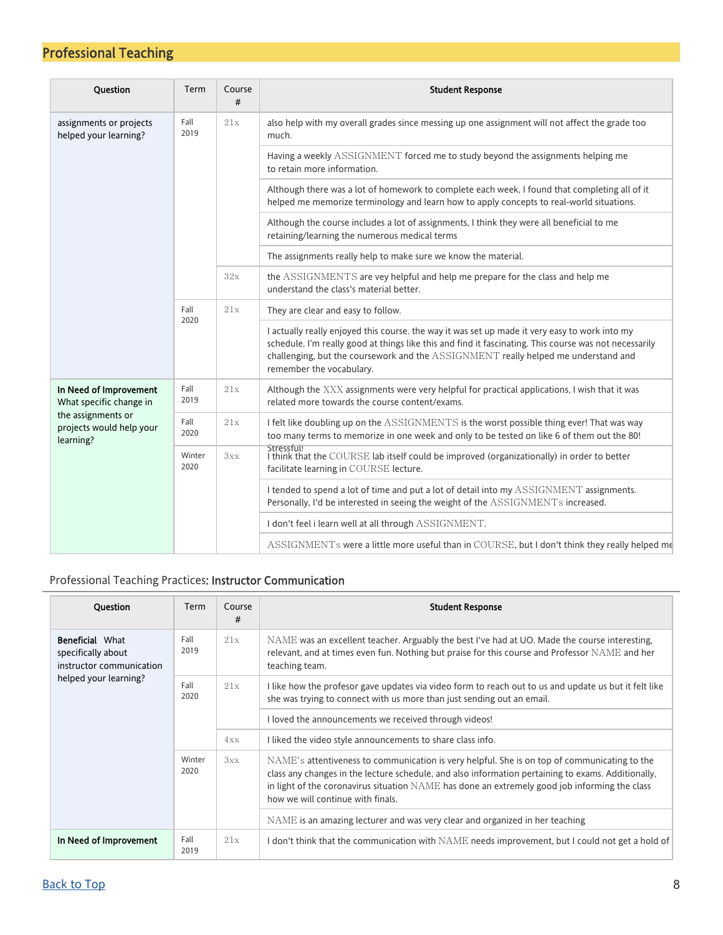| Question                                                    | Term           | Course<br># | <b>Student Response</b>                                                                                                                                                                                                                                                                                                    |  |  |  |  |  |  |  |  |  |  |  |  |  |
|-------------------------------------------------------------|----------------|-------------|----------------------------------------------------------------------------------------------------------------------------------------------------------------------------------------------------------------------------------------------------------------------------------------------------------------------------|--|--|--|--|--|--|--|--|--|--|--|--|--|
| assignments or projects<br>helped your learning?            | Fall<br>2019   | 21x         | also help with my overall grades since messing up one assignment will not affect the grade too<br>much.                                                                                                                                                                                                                    |  |  |  |  |  |  |  |  |  |  |  |  |  |
|                                                             |                |             | Having a weekly ASSIGNMENT forced me to study beyond the assignments helping me<br>to retain more information.                                                                                                                                                                                                             |  |  |  |  |  |  |  |  |  |  |  |  |  |
|                                                             |                |             | Although there was a lot of homework to complete each week, I found that completing all of it<br>helped me memorize terminology and learn how to apply concepts to real-world situations.                                                                                                                                  |  |  |  |  |  |  |  |  |  |  |  |  |  |
|                                                             |                |             | Although the course includes a lot of assignments, I think they were all beneficial to me<br>retaining/learning the numerous medical terms                                                                                                                                                                                 |  |  |  |  |  |  |  |  |  |  |  |  |  |
|                                                             |                |             | The assignments really help to make sure we know the material.                                                                                                                                                                                                                                                             |  |  |  |  |  |  |  |  |  |  |  |  |  |
|                                                             |                | 32x         | the ASSIGNMENTS are vey helpful and help me prepare for the class and help me<br>understand the class's material better.                                                                                                                                                                                                   |  |  |  |  |  |  |  |  |  |  |  |  |  |
|                                                             | Fall           | 21x<br>2020 | They are clear and easy to follow.                                                                                                                                                                                                                                                                                         |  |  |  |  |  |  |  |  |  |  |  |  |  |
|                                                             |                |             | I actually really enjoyed this course, the way it was set up made it very easy to work into my<br>schedule. I'm really good at things like this and find it fascinating. This course was not necessarily<br>challenging, but the coursework and the ASSIGNMENT really helped me understand and<br>remember the vocabulary. |  |  |  |  |  |  |  |  |  |  |  |  |  |
| In Need of Improvement<br>What specific change in           | Fall<br>2019   | 21x         | Although the XXX assignments were very helpful for practical applications, I wish that it was<br>related more towards the course content/exams.                                                                                                                                                                            |  |  |  |  |  |  |  |  |  |  |  |  |  |
| the assignments or<br>projects would help your<br>learning? | Fall<br>2020   | 21x         | I felt like doubling up on the ASSIGNMENTS is the worst possible thing ever! That was way<br>too many terms to memorize in one week and only to be tested on like 6 of them out the 80!                                                                                                                                    |  |  |  |  |  |  |  |  |  |  |  |  |  |
|                                                             | Winter<br>2020 | 3xx         | Stressful!<br>I think that the COURSE lab itself could be improved (organizationally) in order to better<br>facilitate learning in COURSE lecture.                                                                                                                                                                         |  |  |  |  |  |  |  |  |  |  |  |  |  |
|                                                             |                |             | I tended to spend a lot of time and put a lot of detail into my ASSIGNMENT assignments.<br>Personally, I'd be interested in seeing the weight of the ASSIGNMENTs increased.                                                                                                                                                |  |  |  |  |  |  |  |  |  |  |  |  |  |
|                                                             |                |             | I don't feel i learn well at all through ASSIGNMENT.                                                                                                                                                                                                                                                                       |  |  |  |  |  |  |  |  |  |  |  |  |  |
|                                                             |                |             |                                                                                                                                                                                                                                                                                                                            |  |  |  |  |  |  |  |  |  |  |  |  |  |

### <span id="page-7-0"></span>Professional Teaching Practices: Instructor Communication

| <b>Ouestion</b>                                                          | Term                       | Course<br># | <b>Student Response</b>                                                                                                                                                                                                                                                                                                                  |
|--------------------------------------------------------------------------|----------------------------|-------------|------------------------------------------------------------------------------------------------------------------------------------------------------------------------------------------------------------------------------------------------------------------------------------------------------------------------------------------|
| <b>Beneficial What</b><br>specifically about<br>instructor communication | Fall<br>2019               | 21x         | NAME was an excellent teacher. Arguably the best I've had at UO. Made the course interesting,<br>relevant, and at times even fun. Nothing but praise for this course and Professor NAME and her<br>teaching team.                                                                                                                        |
| helped your learning?                                                    | Fall<br>21x<br>2020<br>4xx |             | I like how the profesor gave updates via video form to reach out to us and update us but it felt like<br>she was trying to connect with us more than just sending out an email.                                                                                                                                                          |
|                                                                          |                            |             | I loved the announcements we received through videos!                                                                                                                                                                                                                                                                                    |
|                                                                          |                            |             | I liked the video style announcements to share class info.                                                                                                                                                                                                                                                                               |
|                                                                          | Winter<br>2020             | 3xx         | NAME's attentiveness to communication is very helpful. She is on top of communicating to the<br>class any changes in the lecture schedule, and also information pertaining to exams. Additionally,<br>in light of the coronavirus situation NAME has done an extremely good job informing the class<br>how we will continue with finals. |
|                                                                          |                            |             | NAME is an amazing lecturer and was very clear and organized in her teaching                                                                                                                                                                                                                                                             |
| In Need of Improvement                                                   | Fall<br>2019               | 21x         | I don't think that the communication with NAME needs improvement, but I could not get a hold of                                                                                                                                                                                                                                          |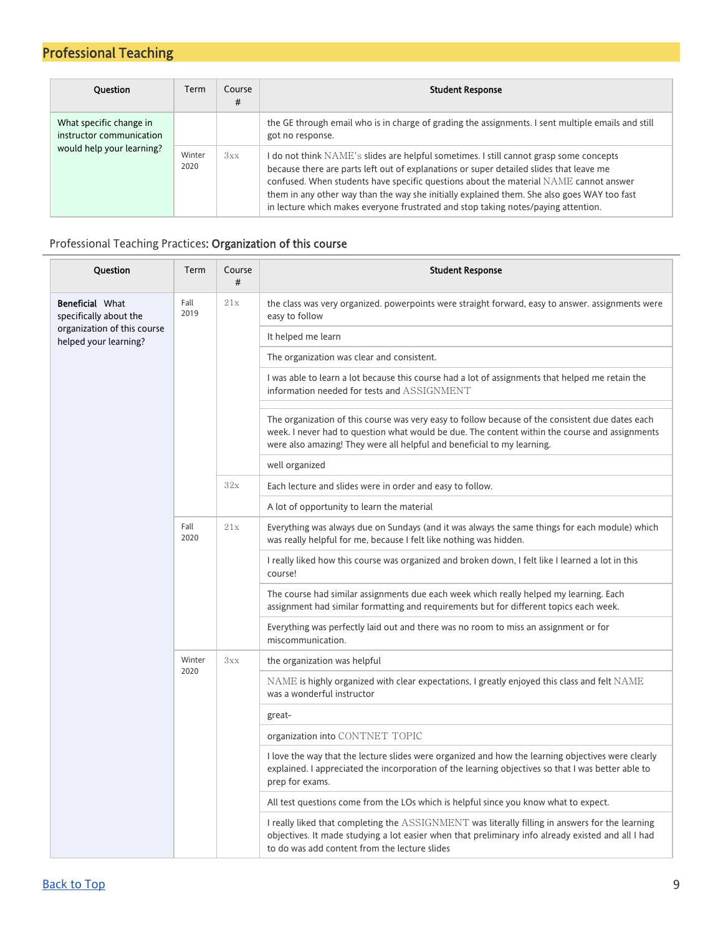| <b>Ouestion</b>                                                                  | Term           | Course<br># | <b>Student Response</b>                                                                                                                                                                                                                                                                                                                                                                                                                                            |
|----------------------------------------------------------------------------------|----------------|-------------|--------------------------------------------------------------------------------------------------------------------------------------------------------------------------------------------------------------------------------------------------------------------------------------------------------------------------------------------------------------------------------------------------------------------------------------------------------------------|
| What specific change in<br>instructor communication<br>would help your learning? |                |             | the GE through email who is in charge of grading the assignments. I sent multiple emails and still<br>got no response.                                                                                                                                                                                                                                                                                                                                             |
|                                                                                  | Winter<br>2020 | 3xx         | I do not think $NAME$ 's slides are helpful sometimes. I still cannot grasp some concepts<br>because there are parts left out of explanations or super detailed slides that leave me<br>confused. When students have specific questions about the material NAME cannot answer<br>them in any other way than the way she initially explained them. She also goes WAY too fast<br>in lecture which makes everyone frustrated and stop taking notes/paying attention. |

### <span id="page-8-0"></span>Professional Teaching Practices: Organization of this course

| Question                                             | Term         | Course<br># | <b>Student Response</b>                                                                                                                                                                                                                                                       |
|------------------------------------------------------|--------------|-------------|-------------------------------------------------------------------------------------------------------------------------------------------------------------------------------------------------------------------------------------------------------------------------------|
| <b>Beneficial What</b><br>specifically about the     | Fall<br>2019 | 21x         | the class was very organized. powerpoints were straight forward, easy to answer. assignments were<br>easy to follow                                                                                                                                                           |
| organization of this course<br>helped your learning? |              |             | It helped me learn                                                                                                                                                                                                                                                            |
|                                                      |              |             | The organization was clear and consistent.                                                                                                                                                                                                                                    |
|                                                      |              |             | I was able to learn a lot because this course had a lot of assignments that helped me retain the<br>information needed for tests and ASSIGNMENT                                                                                                                               |
|                                                      |              |             | The organization of this course was very easy to follow because of the consistent due dates each<br>week. I never had to question what would be due. The content within the course and assignments<br>were also amazing! They were all helpful and beneficial to my learning. |
|                                                      |              |             | well organized                                                                                                                                                                                                                                                                |
|                                                      |              | 32x         | Each lecture and slides were in order and easy to follow.                                                                                                                                                                                                                     |
|                                                      |              |             | A lot of opportunity to learn the material                                                                                                                                                                                                                                    |
|                                                      | Fall<br>2020 | 21x         | Everything was always due on Sundays (and it was always the same things for each module) which<br>was really helpful for me, because I felt like nothing was hidden.                                                                                                          |
|                                                      |              |             | I really liked how this course was organized and broken down, I felt like I learned a lot in this<br>course!                                                                                                                                                                  |
|                                                      |              |             | The course had similar assignments due each week which really helped my learning. Each<br>assignment had similar formatting and requirements but for different topics each week.                                                                                              |
|                                                      |              |             | Everything was perfectly laid out and there was no room to miss an assignment or for<br>miscommunication.                                                                                                                                                                     |
|                                                      | Winter       | 3xx         | the organization was helpful                                                                                                                                                                                                                                                  |
|                                                      | 2020         |             | $NAME$ is highly organized with clear expectations, I greatly enjoyed this class and felt $NAME$<br>was a wonderful instructor                                                                                                                                                |
|                                                      |              |             | great-                                                                                                                                                                                                                                                                        |
|                                                      |              |             | organization into CONTNET TOPIC                                                                                                                                                                                                                                               |
|                                                      |              |             | I love the way that the lecture slides were organized and how the learning objectives were clearly<br>explained. I appreciated the incorporation of the learning objectives so that I was better able to<br>prep for exams.                                                   |
|                                                      |              |             | All test questions come from the LOs which is helpful since you know what to expect.                                                                                                                                                                                          |
|                                                      |              |             | I really liked that completing the ASSIGNMENT was literally filling in answers for the learning<br>objectives. It made studying a lot easier when that preliminary info already existed and all I had<br>to do was add content from the lecture slides                        |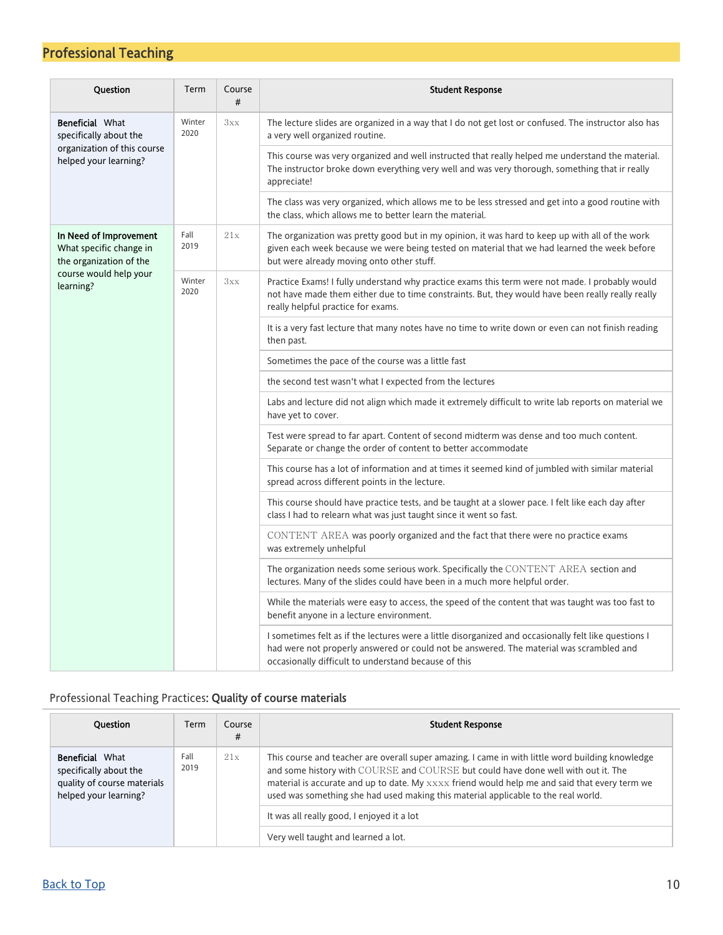| Question                                                                     | Term           | Course<br># | <b>Student Response</b>                                                                                                                                                                                                                                  |
|------------------------------------------------------------------------------|----------------|-------------|----------------------------------------------------------------------------------------------------------------------------------------------------------------------------------------------------------------------------------------------------------|
| <b>Beneficial What</b><br>specifically about the                             | Winter<br>2020 | 3xx         | The lecture slides are organized in a way that I do not get lost or confused. The instructor also has<br>a very well organized routine.                                                                                                                  |
| organization of this course<br>helped your learning?                         |                |             | This course was very organized and well instructed that really helped me understand the material.<br>The instructor broke down everything very well and was very thorough, something that ir really<br>appreciate!                                       |
|                                                                              |                |             | The class was very organized, which allows me to be less stressed and get into a good routine with<br>the class, which allows me to better learn the material.                                                                                           |
| In Need of Improvement<br>What specific change in<br>the organization of the | Fall<br>2019   | 21x         | The organization was pretty good but in my opinion, it was hard to keep up with all of the work<br>given each week because we were being tested on material that we had learned the week before<br>but were already moving onto other stuff.             |
| course would help your<br>learning?                                          | Winter<br>2020 | 3xx         | Practice Exams! I fully understand why practice exams this term were not made. I probably would<br>not have made them either due to time constraints. But, they would have been really really really<br>really helpful practice for exams.               |
|                                                                              |                |             | It is a very fast lecture that many notes have no time to write down or even can not finish reading<br>then past.                                                                                                                                        |
|                                                                              |                |             | Sometimes the pace of the course was a little fast                                                                                                                                                                                                       |
|                                                                              |                |             | the second test wasn't what I expected from the lectures                                                                                                                                                                                                 |
|                                                                              |                |             | Labs and lecture did not align which made it extremely difficult to write lab reports on material we<br>have yet to cover.                                                                                                                               |
|                                                                              |                |             | Test were spread to far apart. Content of second midterm was dense and too much content.<br>Separate or change the order of content to better accommodate                                                                                                |
|                                                                              |                |             | This course has a lot of information and at times it seemed kind of jumbled with similar material<br>spread across different points in the lecture.                                                                                                      |
|                                                                              |                |             | This course should have practice tests, and be taught at a slower pace. I felt like each day after<br>class I had to relearn what was just taught since it went so fast.                                                                                 |
|                                                                              |                |             | CONTENT AREA was poorly organized and the fact that there were no practice exams<br>was extremely unhelpful                                                                                                                                              |
|                                                                              |                |             | The organization needs some serious work. Specifically the CONTENT AREA section and<br>lectures. Many of the slides could have been in a much more helpful order.                                                                                        |
|                                                                              |                |             | While the materials were easy to access, the speed of the content that was taught was too fast to<br>benefit anyone in a lecture environment.                                                                                                            |
|                                                                              |                |             | I sometimes felt as if the lectures were a little disorganized and occasionally felt like questions I<br>had were not properly answered or could not be answered. The material was scrambled and<br>occasionally difficult to understand because of this |

### <span id="page-9-0"></span>Professional Teaching Practices: Quality of course materials

| <b>Ouestion</b>                                                                                          | Term         | Course<br># | <b>Student Response</b>                                                                                                                                                                                                                                                                                                                                                      |
|----------------------------------------------------------------------------------------------------------|--------------|-------------|------------------------------------------------------------------------------------------------------------------------------------------------------------------------------------------------------------------------------------------------------------------------------------------------------------------------------------------------------------------------------|
| <b>Beneficial</b> What<br>specifically about the<br>quality of course materials<br>helped your learning? | Fall<br>2019 | 21x         | This course and teacher are overall super amazing. I came in with little word building knowledge<br>and some history with COURSE and COURSE but could have done well with out it. The<br>material is accurate and up to date. My xxxx friend would help me and said that every term we<br>used was something she had used making this material applicable to the real world. |
|                                                                                                          |              |             | It was all really good, I enjoyed it a lot                                                                                                                                                                                                                                                                                                                                   |
|                                                                                                          |              |             | Very well taught and learned a lot.                                                                                                                                                                                                                                                                                                                                          |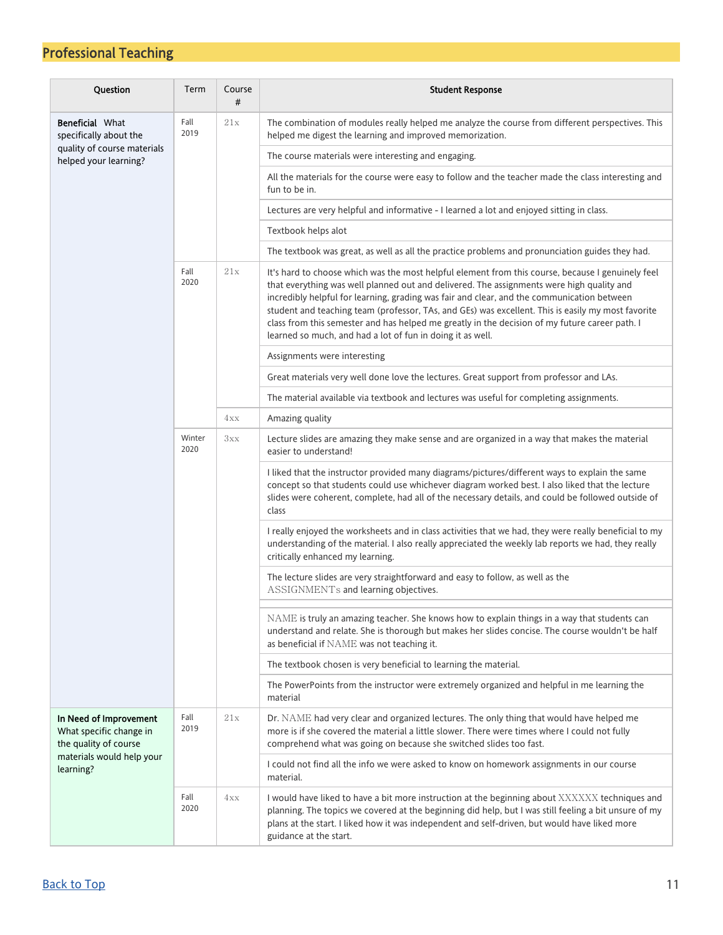| Question                                                                   | Term           | Course<br># | <b>Student Response</b>                                                                                                                                                                                                                                                                                                                                                                                                                                                                                                                                            |  |  |  |  |
|----------------------------------------------------------------------------|----------------|-------------|--------------------------------------------------------------------------------------------------------------------------------------------------------------------------------------------------------------------------------------------------------------------------------------------------------------------------------------------------------------------------------------------------------------------------------------------------------------------------------------------------------------------------------------------------------------------|--|--|--|--|
| <b>Beneficial What</b><br>specifically about the                           | Fall<br>2019   | 21x         | The combination of modules really helped me analyze the course from different perspectives. This<br>helped me digest the learning and improved memorization.                                                                                                                                                                                                                                                                                                                                                                                                       |  |  |  |  |
| quality of course materials<br>helped your learning?                       |                |             | The course materials were interesting and engaging.                                                                                                                                                                                                                                                                                                                                                                                                                                                                                                                |  |  |  |  |
|                                                                            |                |             | All the materials for the course were easy to follow and the teacher made the class interesting and<br>fun to be in.                                                                                                                                                                                                                                                                                                                                                                                                                                               |  |  |  |  |
|                                                                            |                |             | Lectures are very helpful and informative - I learned a lot and enjoyed sitting in class.                                                                                                                                                                                                                                                                                                                                                                                                                                                                          |  |  |  |  |
|                                                                            |                |             | Textbook helps alot                                                                                                                                                                                                                                                                                                                                                                                                                                                                                                                                                |  |  |  |  |
|                                                                            |                |             | The textbook was great, as well as all the practice problems and pronunciation guides they had.                                                                                                                                                                                                                                                                                                                                                                                                                                                                    |  |  |  |  |
|                                                                            | Fall<br>2020   | 21x         | It's hard to choose which was the most helpful element from this course, because I genuinely feel<br>that everything was well planned out and delivered. The assignments were high quality and<br>incredibly helpful for learning, grading was fair and clear, and the communication between<br>student and teaching team (professor, TAs, and GEs) was excellent. This is easily my most favorite<br>class from this semester and has helped me greatly in the decision of my future career path. I<br>learned so much, and had a lot of fun in doing it as well. |  |  |  |  |
|                                                                            |                |             | Assignments were interesting                                                                                                                                                                                                                                                                                                                                                                                                                                                                                                                                       |  |  |  |  |
|                                                                            |                | 4xx         | Great materials very well done love the lectures. Great support from professor and LAs.                                                                                                                                                                                                                                                                                                                                                                                                                                                                            |  |  |  |  |
|                                                                            |                |             | The material available via textbook and lectures was useful for completing assignments.                                                                                                                                                                                                                                                                                                                                                                                                                                                                            |  |  |  |  |
|                                                                            |                |             | Amazing quality                                                                                                                                                                                                                                                                                                                                                                                                                                                                                                                                                    |  |  |  |  |
|                                                                            | Winter<br>2020 | 3xx         | Lecture slides are amazing they make sense and are organized in a way that makes the material<br>easier to understand!                                                                                                                                                                                                                                                                                                                                                                                                                                             |  |  |  |  |
|                                                                            |                |             | I liked that the instructor provided many diagrams/pictures/different ways to explain the same<br>concept so that students could use whichever diagram worked best. I also liked that the lecture<br>slides were coherent, complete, had all of the necessary details, and could be followed outside of<br>class                                                                                                                                                                                                                                                   |  |  |  |  |
|                                                                            |                |             | I really enjoyed the worksheets and in class activities that we had, they were really beneficial to my<br>understanding of the material. I also really appreciated the weekly lab reports we had, they really<br>critically enhanced my learning.                                                                                                                                                                                                                                                                                                                  |  |  |  |  |
|                                                                            |                |             | The lecture slides are very straightforward and easy to follow, as well as the<br>ASSIGNMENTs and learning objectives.                                                                                                                                                                                                                                                                                                                                                                                                                                             |  |  |  |  |
|                                                                            |                |             | NAME is truly an amazing teacher. She knows how to explain things in a way that students can<br>understand and relate. She is thorough but makes her slides concise. The course wouldn't be half<br>as beneficial if NAME was not teaching it.                                                                                                                                                                                                                                                                                                                     |  |  |  |  |
|                                                                            |                |             | The textbook chosen is very beneficial to learning the material.                                                                                                                                                                                                                                                                                                                                                                                                                                                                                                   |  |  |  |  |
|                                                                            |                |             | The PowerPoints from the instructor were extremely organized and helpful in me learning the<br>material                                                                                                                                                                                                                                                                                                                                                                                                                                                            |  |  |  |  |
| In Need of Improvement<br>What specific change in<br>the quality of course | Fall<br>2019   | 21x         | Dr. NAME had very clear and organized lectures. The only thing that would have helped me<br>more is if she covered the material a little slower. There were times where I could not fully<br>comprehend what was going on because she switched slides too fast.                                                                                                                                                                                                                                                                                                    |  |  |  |  |
| materials would help your<br>learning?                                     |                |             | I could not find all the info we were asked to know on homework assignments in our course<br>material.                                                                                                                                                                                                                                                                                                                                                                                                                                                             |  |  |  |  |
|                                                                            | Fall<br>2020   | 4xx         | I would have liked to have a bit more instruction at the beginning about XXXXXX techniques and<br>planning. The topics we covered at the beginning did help, but I was still feeling a bit unsure of my<br>plans at the start. I liked how it was independent and self-driven, but would have liked more<br>guidance at the start.                                                                                                                                                                                                                                 |  |  |  |  |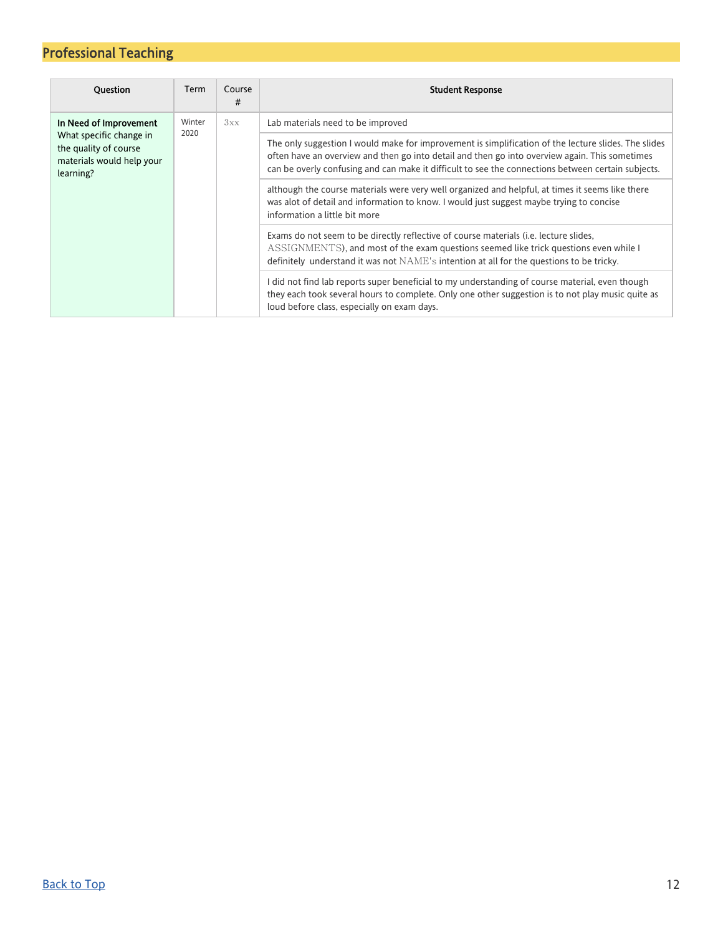| <b>Ouestion</b>                                                                            | Term   | Course<br># | <b>Student Response</b>                                                                                                                                                                                                                                                                                      |
|--------------------------------------------------------------------------------------------|--------|-------------|--------------------------------------------------------------------------------------------------------------------------------------------------------------------------------------------------------------------------------------------------------------------------------------------------------------|
| In Need of Improvement                                                                     | Winter | 3xx         | Lab materials need to be improved                                                                                                                                                                                                                                                                            |
| What specific change in<br>the quality of course<br>materials would help your<br>learning? | 2020   |             | The only suggestion I would make for improvement is simplification of the lecture slides. The slides<br>often have an overview and then go into detail and then go into overview again. This sometimes<br>can be overly confusing and can make it difficult to see the connections between certain subjects. |
|                                                                                            |        |             | although the course materials were very well organized and helpful, at times it seems like there<br>was alot of detail and information to know. I would just suggest maybe trying to concise<br>information a little bit more                                                                                |
|                                                                                            |        |             | Exams do not seem to be directly reflective of course materials (i.e. lecture slides,<br>ASSIGNMENTS), and most of the exam questions seemed like trick questions even while I<br>definitely understand it was not $NAME$ 's intention at all for the questions to be tricky.                                |
|                                                                                            |        |             | I did not find lab reports super beneficial to my understanding of course material, even though<br>they each took several hours to complete. Only one other suggestion is to not play music quite as<br>loud before class, especially on exam days.                                                          |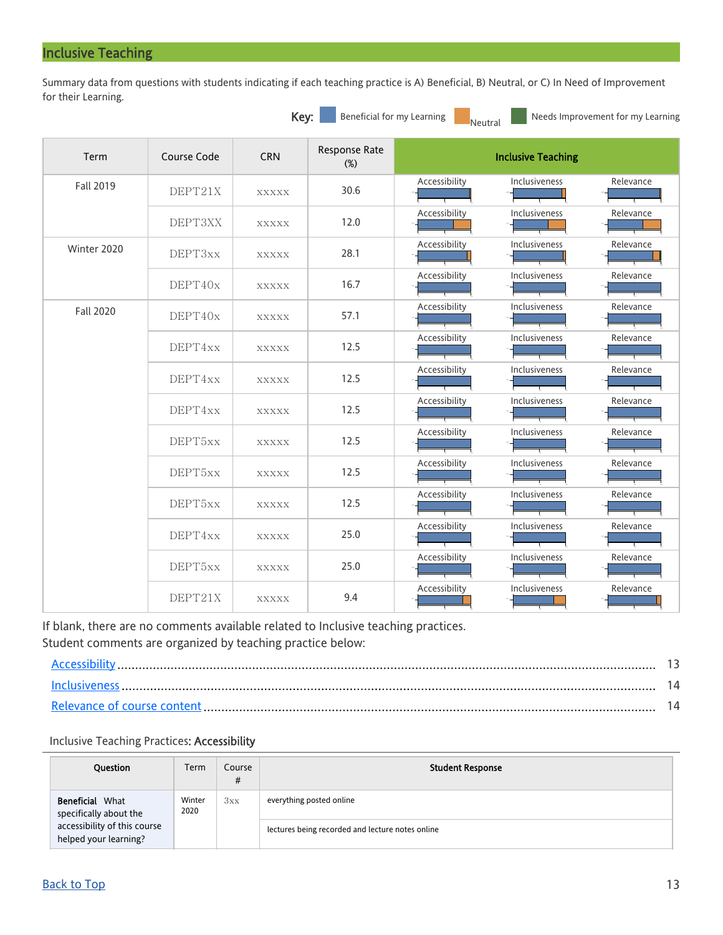### <span id="page-12-0"></span>Inclusive Teaching

Summary data from questions with students indicating if each teaching practice is A) Beneficial, B) Neutral, or C) In Need of Improvement for their Learning.

|                  |             | Key:         | Beneficial for my Learning | Needs Improvement for my Learning<br>Neutral       |
|------------------|-------------|--------------|----------------------------|----------------------------------------------------|
| Term             | Course Code | <b>CRN</b>   | Response Rate<br>$(\%)$    | <b>Inclusive Teaching</b>                          |
| <b>Fall 2019</b> | DEPT21X     | <b>XXXXX</b> | 30.6                       | Inclusiveness<br>Accessibility<br>Relevance        |
|                  | DEPT3XX     | <b>XXXXX</b> | 12.0                       | Accessibility<br>Relevance<br>Inclusiveness        |
| Winter 2020      | DEPT3xx     | <b>XXXXX</b> | 28.1                       | Accessibility<br>Inclusiveness<br>Relevance        |
|                  | DEPT40x     | <b>XXXXX</b> | 16.7                       | Relevance<br>Accessibility<br>Inclusiveness        |
| <b>Fall 2020</b> | DEPT40x     | <b>XXXXX</b> | 57.1                       | Accessibility<br>Inclusiveness<br>Relevance        |
|                  | DEPT4xx     | <b>XXXXX</b> | 12.5                       | Accessibility<br>Inclusiveness<br>Relevance        |
|                  | DEPT4xx     | <b>XXXXX</b> | 12.5                       | Accessibility<br>Inclusiveness<br>Relevance        |
|                  | DEPT4xx     | <b>XXXXX</b> | 12.5                       | Accessibility<br>Relevance<br>Inclusiveness        |
|                  | DEPT5xx     | <b>XXXXX</b> | 12.5                       | Accessibility<br>Inclusiveness<br>Relevance        |
|                  | DEPT5xx     | <b>XXXXX</b> | 12.5                       | Accessibility<br>Inclusiveness<br>Relevance        |
|                  | DEPT5xx     | <b>XXXXX</b> | 12.5                       | Accessibility<br>Inclusiveness<br>Relevance        |
|                  | DEPT4xx     | <b>XXXXX</b> | 25.0                       | Accessibility<br><b>Inclusiveness</b><br>Relevance |
|                  | DEPT5xx     | <b>XXXXX</b> | 25.0                       | Accessibility<br>Relevance<br>Inclusiveness        |
|                  | DEPT21X     | <b>XXXXX</b> | 9.4                        | Accessibility<br>Inclusiveness<br>Relevance        |

If blank, there are no comments available related to Inclusive teaching practices. Student comments are organized by teaching practice below:

#### <span id="page-12-1"></span>Inclusive Teaching Practices: Accessibility

| <b>Ouestion</b>                                       | Term           | Course<br># | <b>Student Response</b>                          |
|-------------------------------------------------------|----------------|-------------|--------------------------------------------------|
| Beneficial<br>What<br>specifically about the          | Winter<br>2020 | 3xx         | everything posted online                         |
| accessibility of this course<br>helped your learning? |                |             | lectures being recorded and lecture notes online |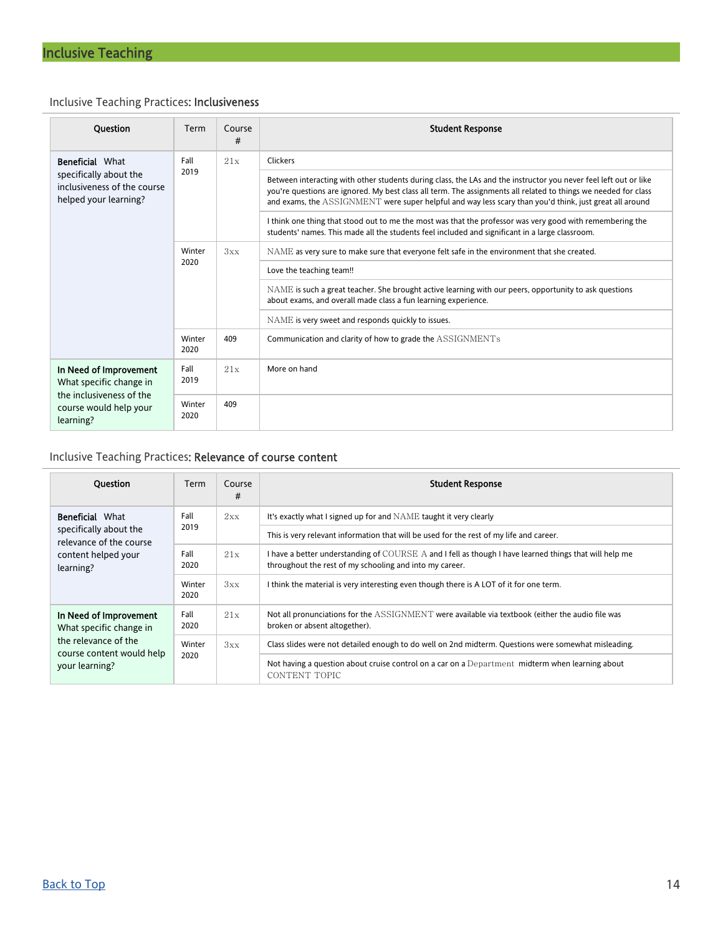### <span id="page-13-0"></span>Inclusive Teaching Practices: Inclusiveness

| <b>Ouestion</b>                                                                                                      | Term           | Course<br># | <b>Student Response</b>                                                                                                                                                                                                                                                                                                                        |  |  |
|----------------------------------------------------------------------------------------------------------------------|----------------|-------------|------------------------------------------------------------------------------------------------------------------------------------------------------------------------------------------------------------------------------------------------------------------------------------------------------------------------------------------------|--|--|
| <b>Beneficial</b> What                                                                                               | Fall           | 21x         | Clickers                                                                                                                                                                                                                                                                                                                                       |  |  |
| specifically about the<br>inclusiveness of the course<br>helped your learning?                                       | 2019           |             | Between interacting with other students during class, the LAs and the instructor you never feel left out or like<br>you're questions are ignored. My best class all term. The assignments all related to things we needed for class<br>and exams, the ASSIGNMENT were super helpful and way less scary than you'd think, just great all around |  |  |
|                                                                                                                      |                |             | I think one thing that stood out to me the most was that the professor was very good with remembering the<br>students' names. This made all the students feel included and significant in a large classroom.                                                                                                                                   |  |  |
|                                                                                                                      | Winter<br>2020 | 3xx         | NAME as very sure to make sure that everyone felt safe in the environment that she created.                                                                                                                                                                                                                                                    |  |  |
|                                                                                                                      |                |             | Love the teaching team!!                                                                                                                                                                                                                                                                                                                       |  |  |
|                                                                                                                      |                |             | NAME is such a great teacher. She brought active learning with our peers, opportunity to ask questions<br>about exams, and overall made class a fun learning experience.                                                                                                                                                                       |  |  |
|                                                                                                                      |                |             | NAME is very sweet and responds quickly to issues.                                                                                                                                                                                                                                                                                             |  |  |
|                                                                                                                      | Winter<br>2020 | 409         | Communication and clarity of how to grade the ASSIGNMENTs                                                                                                                                                                                                                                                                                      |  |  |
| In Need of Improvement<br>What specific change in<br>the inclusiveness of the<br>course would help your<br>learning? | Fall<br>2019   | 21x         | More on hand                                                                                                                                                                                                                                                                                                                                   |  |  |
|                                                                                                                      | Winter<br>2020 | 409         |                                                                                                                                                                                                                                                                                                                                                |  |  |

### <span id="page-13-1"></span>Inclusive Teaching Practices: Relevance of course content

| <b>Ouestion</b>                                                                                                          | Term           | Course<br># | <b>Student Response</b>                                                                                                                                           |
|--------------------------------------------------------------------------------------------------------------------------|----------------|-------------|-------------------------------------------------------------------------------------------------------------------------------------------------------------------|
| <b>Beneficial</b> What                                                                                                   | Fall           | 2xx         | It's exactly what I signed up for and NAME taught it very clearly                                                                                                 |
| specifically about the<br>relevance of the course                                                                        | 2019           |             | This is very relevant information that will be used for the rest of my life and career.                                                                           |
| content helped your<br>learning?                                                                                         | Fall<br>2020   | 21x         | I have a better understanding of COURSE A and I fell as though I have learned things that will help me<br>throughout the rest of my schooling and into my career. |
|                                                                                                                          | Winter<br>2020 | 3xx         | I think the material is very interesting even though there is A LOT of it for one term.                                                                           |
| In Need of Improvement<br>What specific change in<br>the relevance of the<br>course content would help<br>your learning? | Fall<br>2020   | 21x         | Not all pronunciations for the ASSIGNMENT were available via textbook (either the audio file was<br>broken or absent altogether).                                 |
|                                                                                                                          | Winter         | 3xx         | Class slides were not detailed enough to do well on 2nd midterm. Questions were somewhat misleading.                                                              |
|                                                                                                                          | 2020           |             | Not having a question about cruise control on a car on a Department midterm when learning about<br>CONTENT TOPIC                                                  |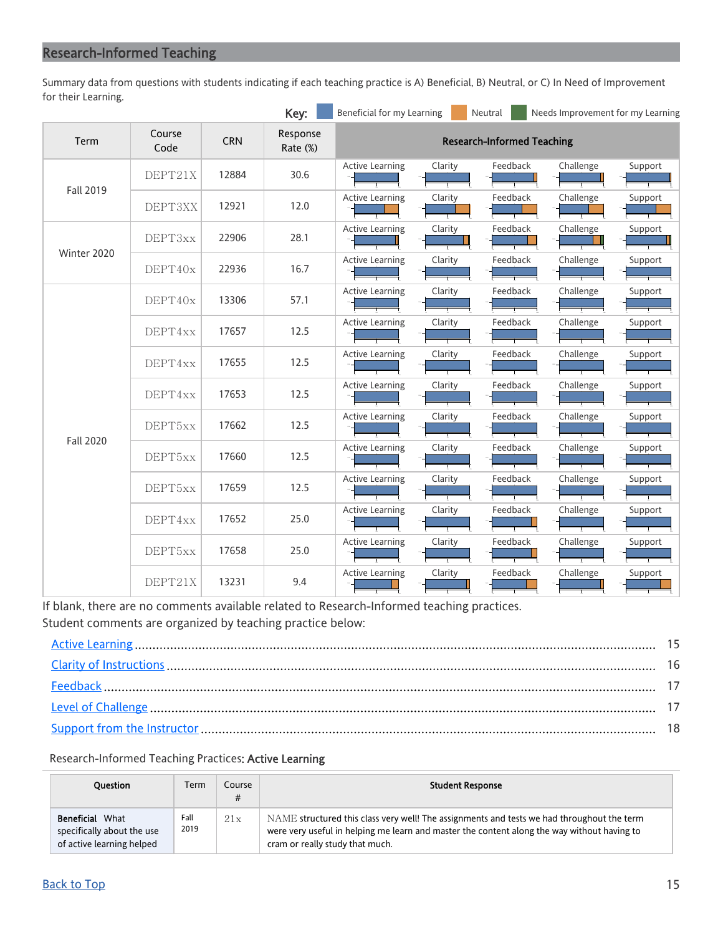<span id="page-14-0"></span>Summary data from questions with students indicating if each teaching practice is A) Beneficial, B) Neutral, or C) In Need of Improvement for their Learning.

|                  |                |            | Key:                 | Beneficial for my Learning |                                   | Neutral  | Needs Improvement for my Learning |         |  |  |
|------------------|----------------|------------|----------------------|----------------------------|-----------------------------------|----------|-----------------------------------|---------|--|--|
| Term             | Course<br>Code | <b>CRN</b> | Response<br>Rate (%) |                            | <b>Research-Informed Teaching</b> |          |                                   |         |  |  |
|                  | DEPT21X        | 12884      | 30.6                 | <b>Active Learning</b>     | Clarity                           | Feedback | Challenge                         | Support |  |  |
| <b>Fall 2019</b> | DEPT3XX        | 12921      | 12.0                 | <b>Active Learning</b>     | Clarity                           | Feedback | Challenge                         | Support |  |  |
| Winter 2020      | DEPT3xx        | 22906      | 28.1                 | <b>Active Learning</b>     | Clarity                           | Feedback | Challenge                         | Support |  |  |
|                  | DEPT40x        | 22936      | 16.7                 | <b>Active Learning</b>     | Clarity                           | Feedback | Challenge                         | Support |  |  |
|                  | DEPT40x        | 13306      | 57.1                 | <b>Active Learning</b>     | Clarity                           | Feedback | Challenge                         | Support |  |  |
|                  | DEPT4xx        | 17657      | 12.5                 | <b>Active Learning</b>     | Clarity                           | Feedback | Challenge                         | Support |  |  |
|                  | DEPT4xx        | 17655      | 12.5                 | <b>Active Learning</b>     | Clarity                           | Feedback | Challenge                         | Support |  |  |
|                  | DEPT4xx        | 17653      | 12.5                 | <b>Active Learning</b>     | Clarity                           | Feedback | Challenge                         | Support |  |  |
| <b>Fall 2020</b> | DEPT5xx        | 17662      | 12.5                 | <b>Active Learning</b>     | Clarity                           | Feedback | Challenge                         | Support |  |  |
|                  | DEPT5xx        | 17660      | 12.5                 | <b>Active Learning</b>     | Clarity                           | Feedback | Challenge                         | Support |  |  |
|                  | DEPT5xx        | 17659      | 12.5                 | <b>Active Learning</b>     | Clarity                           | Feedback | Challenge                         | Support |  |  |
|                  | DEPT4xx        | 17652      | 25.0                 | <b>Active Learning</b>     | Clarity                           | Feedback | Challenge                         | Support |  |  |
|                  | DEPT5xx        | 17658      | 25.0                 | <b>Active Learning</b>     | Clarity                           | Feedback | Challenge                         | Support |  |  |
|                  | DEPT21X        | 13231      | 9.4                  | <b>Active Learning</b>     | Clarity                           | Feedback | Challenge                         | Support |  |  |

If blank, there are no comments available related to Research-Informed teaching practices. Student comments are organized by teaching practice below:

#### <span id="page-14-1"></span>Research-Informed Teaching Practices: Active Learning

| <b>Question</b>                                                                   | Term         | Course<br># | <b>Student Response</b>                                                                                                                                                                                                      |
|-----------------------------------------------------------------------------------|--------------|-------------|------------------------------------------------------------------------------------------------------------------------------------------------------------------------------------------------------------------------------|
| <b>Beneficial What</b><br>specifically about the use<br>of active learning helped | Fall<br>2019 | 21x         | NAME structured this class very well! The assignments and tests we had throughout the term<br>were very useful in helping me learn and master the content along the way without having to<br>cram or really study that much. |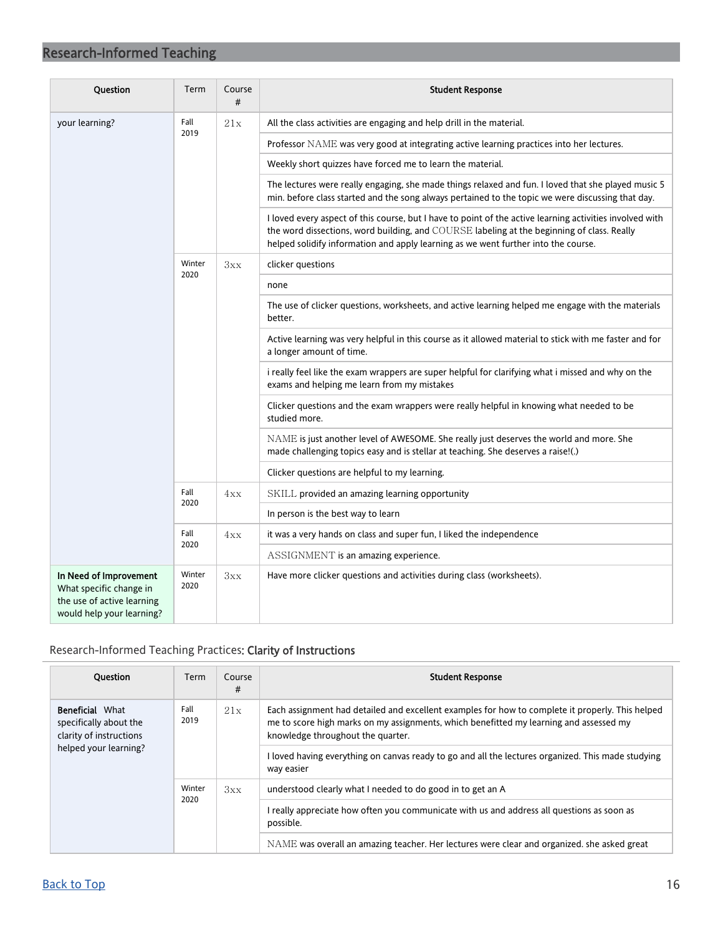| Question                                                                                                     | Term           | Course<br># | <b>Student Response</b>                                                                                                                                                                                                                                                                      |
|--------------------------------------------------------------------------------------------------------------|----------------|-------------|----------------------------------------------------------------------------------------------------------------------------------------------------------------------------------------------------------------------------------------------------------------------------------------------|
| your learning?                                                                                               | Fall<br>2019   | 21x         | All the class activities are engaging and help drill in the material.                                                                                                                                                                                                                        |
|                                                                                                              |                |             | Professor NAME was very good at integrating active learning practices into her lectures.                                                                                                                                                                                                     |
|                                                                                                              |                |             | Weekly short quizzes have forced me to learn the material.                                                                                                                                                                                                                                   |
|                                                                                                              |                |             | The lectures were really engaging, she made things relaxed and fun. I loved that she played music 5<br>min. before class started and the song always pertained to the topic we were discussing that day.                                                                                     |
|                                                                                                              |                |             | I loved every aspect of this course, but I have to point of the active learning activities involved with<br>the word dissections, word building, and COURSE labeling at the beginning of class. Really<br>helped solidify information and apply learning as we went further into the course. |
|                                                                                                              | Winter         | 3xx         | clicker questions                                                                                                                                                                                                                                                                            |
|                                                                                                              | 2020           |             | none                                                                                                                                                                                                                                                                                         |
|                                                                                                              |                |             | The use of clicker questions, worksheets, and active learning helped me engage with the materials<br>better.                                                                                                                                                                                 |
|                                                                                                              |                |             | Active learning was very helpful in this course as it allowed material to stick with me faster and for<br>a longer amount of time.                                                                                                                                                           |
|                                                                                                              |                |             | i really feel like the exam wrappers are super helpful for clarifying what i missed and why on the<br>exams and helping me learn from my mistakes                                                                                                                                            |
|                                                                                                              |                |             | Clicker questions and the exam wrappers were really helpful in knowing what needed to be<br>studied more.                                                                                                                                                                                    |
|                                                                                                              |                |             | NAME is just another level of AWESOME. She really just deserves the world and more. She<br>made challenging topics easy and is stellar at teaching. She deserves a raise!(.)                                                                                                                 |
|                                                                                                              |                |             | Clicker questions are helpful to my learning.                                                                                                                                                                                                                                                |
|                                                                                                              | Fall<br>2020   | 4xx         | SKILL provided an amazing learning opportunity                                                                                                                                                                                                                                               |
|                                                                                                              |                |             | In person is the best way to learn                                                                                                                                                                                                                                                           |
|                                                                                                              | Fall           | 4xx<br>2020 | it was a very hands on class and super fun, I liked the independence                                                                                                                                                                                                                         |
|                                                                                                              |                |             | ASSIGNMENT is an amazing experience.                                                                                                                                                                                                                                                         |
| In Need of Improvement<br>What specific change in<br>the use of active learning<br>would help your learning? | Winter<br>2020 | 3xx         | Have more clicker questions and activities during class (worksheets).                                                                                                                                                                                                                        |

### <span id="page-15-0"></span>Research-Informed Teaching Practices: Clarity of Instructions

| <b>Question</b>                                                                                      | Term           | Course<br># | <b>Student Response</b>                                                                                                                                                                                                         |
|------------------------------------------------------------------------------------------------------|----------------|-------------|---------------------------------------------------------------------------------------------------------------------------------------------------------------------------------------------------------------------------------|
| <b>Beneficial</b> What<br>specifically about the<br>clarity of instructions<br>helped your learning? | Fall<br>2019   | 21x         | Each assignment had detailed and excellent examples for how to complete it properly. This helped<br>me to score high marks on my assignments, which benefitted my learning and assessed my<br>knowledge throughout the quarter. |
|                                                                                                      |                |             | I loved having everything on canvas ready to go and all the lectures organized. This made studying<br>way easier                                                                                                                |
|                                                                                                      | Winter<br>2020 | 3xx         | understood clearly what I needed to do good in to get an A                                                                                                                                                                      |
|                                                                                                      |                |             | really appreciate how often you communicate with us and address all questions as soon as<br>possible.                                                                                                                           |
|                                                                                                      |                |             | NAME was overall an amazing teacher. Her lectures were clear and organized, she asked great                                                                                                                                     |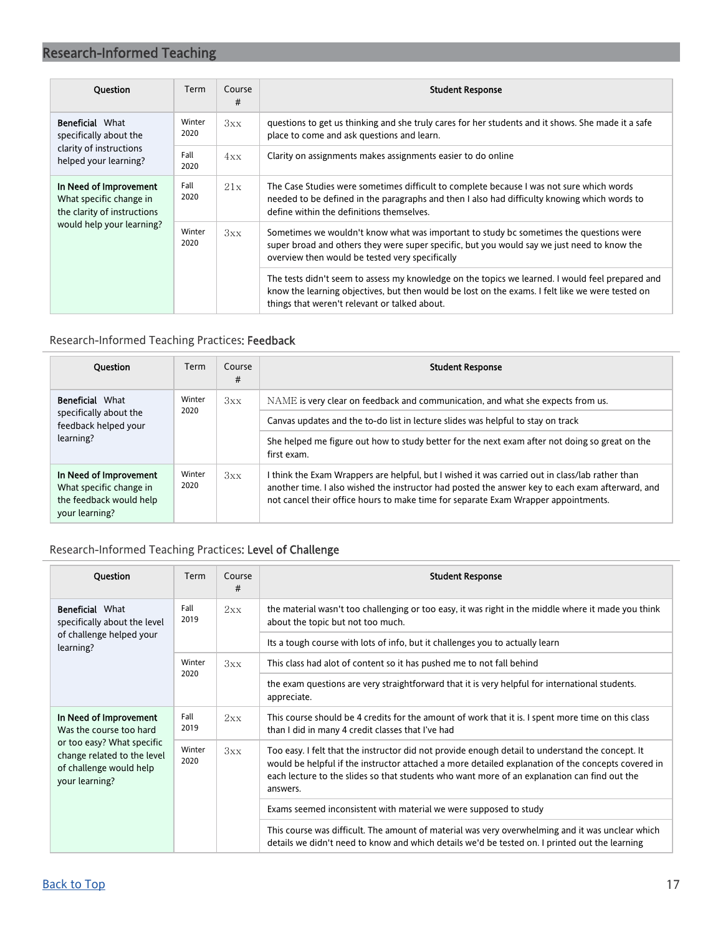| <b>Ouestion</b>                                                                  | Term           | Course<br># | <b>Student Response</b>                                                                                                                                                                                                                               |
|----------------------------------------------------------------------------------|----------------|-------------|-------------------------------------------------------------------------------------------------------------------------------------------------------------------------------------------------------------------------------------------------------|
| <b>Beneficial What</b><br>specifically about the                                 | Winter<br>2020 | 3xx         | questions to get us thinking and she truly cares for her students and it shows. She made it a safe<br>place to come and ask questions and learn.                                                                                                      |
| clarity of instructions<br>helped your learning?                                 | Fall<br>2020   | 4xx         | Clarity on assignments makes assignments easier to do online                                                                                                                                                                                          |
| In Need of Improvement<br>What specific change in<br>the clarity of instructions | Fall<br>2020   | 21x         | The Case Studies were sometimes difficult to complete because I was not sure which words<br>needed to be defined in the paragraphs and then I also had difficulty knowing which words to<br>define within the definitions themselves.                 |
| would help your learning?                                                        | Winter<br>2020 | 3xx         | Sometimes we wouldn't know what was important to study bo sometimes the questions were<br>super broad and others they were super specific, but you would say we just need to know the<br>overview then would be tested very specifically              |
|                                                                                  |                |             | The tests didn't seem to assess my knowledge on the topics we learned. I would feel prepared and<br>know the learning objectives, but then would be lost on the exams. I felt like we were tested on<br>things that weren't relevant or talked about. |

### <span id="page-16-0"></span>Research-Informed Teaching Practices: Feedback

| <b>Ouestion</b>                                                                                | Term           | Course<br># | <b>Student Response</b>                                                                                                                                                                                                                                                                   |
|------------------------------------------------------------------------------------------------|----------------|-------------|-------------------------------------------------------------------------------------------------------------------------------------------------------------------------------------------------------------------------------------------------------------------------------------------|
| <b>Beneficial</b> What<br>2020<br>specifically about the                                       | Winter         | 3xx         | NAME is very clear on feedback and communication, and what she expects from us.                                                                                                                                                                                                           |
| feedback helped your                                                                           |                |             | Canvas updates and the to-do list in lecture slides was helpful to stay on track                                                                                                                                                                                                          |
| learning?                                                                                      |                |             | She helped me figure out how to study better for the next exam after not doing so great on the<br>first exam.                                                                                                                                                                             |
| In Need of Improvement<br>What specific change in<br>the feedback would help<br>your learning? | Winter<br>2020 | 3xx         | I think the Exam Wrappers are helpful, but I wished it was carried out in class/lab rather than<br>another time. I also wished the instructor had posted the answer key to each exam afterward, and<br>not cancel their office hours to make time for separate Exam Wrapper appointments. |

### <span id="page-16-1"></span>Research-Informed Teaching Practices: Level of Challenge

| <b>Ouestion</b>                                                                                        | Term           | Course<br># | <b>Student Response</b>                                                                                                                                                                                                                                                                                            |
|--------------------------------------------------------------------------------------------------------|----------------|-------------|--------------------------------------------------------------------------------------------------------------------------------------------------------------------------------------------------------------------------------------------------------------------------------------------------------------------|
| <b>Beneficial What</b><br>specifically about the level                                                 | Fall<br>2019   | 2xx         | the material wasn't too challenging or too easy, it was right in the middle where it made you think<br>about the topic but not too much.                                                                                                                                                                           |
| of challenge helped your<br>learning?                                                                  |                |             | Its a tough course with lots of info, but it challenges you to actually learn                                                                                                                                                                                                                                      |
|                                                                                                        | Winter<br>2020 | 3xx         | This class had alot of content so it has pushed me to not fall behind                                                                                                                                                                                                                                              |
|                                                                                                        |                |             | the exam questions are very straightforward that it is very helpful for international students.<br>appreciate.                                                                                                                                                                                                     |
| In Need of Improvement<br>Was the course too hard                                                      | Fall<br>2019   | 2xx         | This course should be 4 credits for the amount of work that it is. I spent more time on this class<br>than I did in many 4 credit classes that I've had                                                                                                                                                            |
| or too easy? What specific<br>change related to the level<br>of challenge would help<br>your learning? | Winter<br>2020 | 3xx         | Too easy. I felt that the instructor did not provide enough detail to understand the concept. It<br>would be helpful if the instructor attached a more detailed explanation of the concepts covered in<br>each lecture to the slides so that students who want more of an explanation can find out the<br>answers. |
|                                                                                                        |                |             | Exams seemed inconsistent with material we were supposed to study                                                                                                                                                                                                                                                  |
|                                                                                                        |                |             | This course was difficult. The amount of material was very overwhelming and it was unclear which<br>details we didn't need to know and which details we'd be tested on. I printed out the learning                                                                                                                 |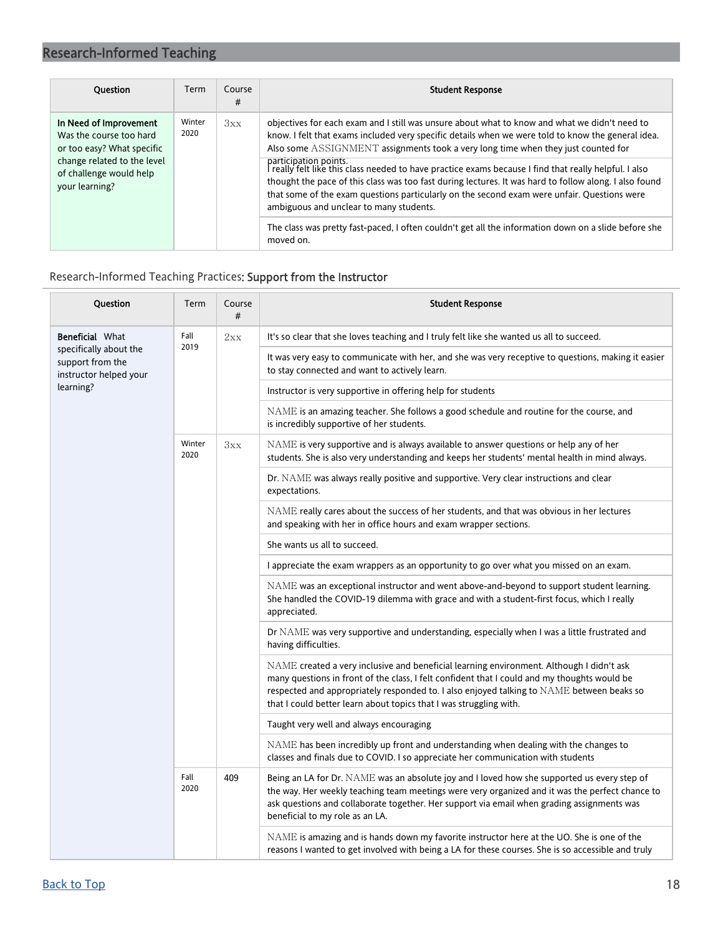| <b>Ouestion</b>                                                                                                                                             | Term           | Course<br># | <b>Student Response</b>                                                                                                                                                                                                                                                                                                                                                                                                                                                                                                                                                                                                                                                                                                                                                                              |
|-------------------------------------------------------------------------------------------------------------------------------------------------------------|----------------|-------------|------------------------------------------------------------------------------------------------------------------------------------------------------------------------------------------------------------------------------------------------------------------------------------------------------------------------------------------------------------------------------------------------------------------------------------------------------------------------------------------------------------------------------------------------------------------------------------------------------------------------------------------------------------------------------------------------------------------------------------------------------------------------------------------------------|
| In Need of Improvement<br>Was the course too hard<br>or too easy? What specific<br>change related to the level<br>of challenge would help<br>your learning? | Winter<br>2020 | 3xx         | objectives for each exam and I still was unsure about what to know and what we didn't need to<br>know. I felt that exams included very specific details when we were told to know the general idea.<br>Also some ASSIGNMENT assignments took a very long time when they just counted for<br>participation points.<br>I really felt like this class needed to have practice exams because I find that really helpful. I also<br>thought the pace of this class was too fast during lectures. It was hard to follow along. I also found<br>that some of the exam questions particularly on the second exam were unfair. Questions were<br>ambiguous and unclear to many students.<br>The class was pretty fast-paced, I often couldn't get all the information down on a slide before she<br>moved on. |

### <span id="page-17-0"></span>Research-Informed Teaching Practices: Support from the Instructor

| Question                                                             | Term           | Course<br># | <b>Student Response</b>                                                                                                                                                                                                                                                                                                                                     |
|----------------------------------------------------------------------|----------------|-------------|-------------------------------------------------------------------------------------------------------------------------------------------------------------------------------------------------------------------------------------------------------------------------------------------------------------------------------------------------------------|
| <b>Beneficial What</b>                                               | Fall<br>2019   | 2xx         | It's so clear that she loves teaching and I truly felt like she wanted us all to succeed.                                                                                                                                                                                                                                                                   |
| specifically about the<br>support from the<br>instructor helped your |                |             | It was very easy to communicate with her, and she was very receptive to questions, making it easier<br>to stay connected and want to actively learn.                                                                                                                                                                                                        |
| learning?                                                            |                |             | Instructor is very supportive in offering help for students                                                                                                                                                                                                                                                                                                 |
|                                                                      |                |             | NAME is an amazing teacher. She follows a good schedule and routine for the course, and<br>is incredibly supportive of her students.                                                                                                                                                                                                                        |
|                                                                      | Winter<br>2020 | 3xx         | NAME is very supportive and is always available to answer questions or help any of her<br>students. She is also very understanding and keeps her students' mental health in mind always.                                                                                                                                                                    |
|                                                                      |                |             | Dr. NAME was always really positive and supportive. Very clear instructions and clear<br>expectations.                                                                                                                                                                                                                                                      |
|                                                                      |                |             | NAME really cares about the success of her students, and that was obvious in her lectures<br>and speaking with her in office hours and exam wrapper sections.                                                                                                                                                                                               |
|                                                                      |                |             | She wants us all to succeed.                                                                                                                                                                                                                                                                                                                                |
|                                                                      |                |             | I appreciate the exam wrappers as an opportunity to go over what you missed on an exam.                                                                                                                                                                                                                                                                     |
|                                                                      |                |             | NAME was an exceptional instructor and went above-and-beyond to support student learning.<br>She handled the COVID-19 dilemma with grace and with a student-first focus, which I really<br>appreciated.                                                                                                                                                     |
|                                                                      |                |             | Dr NAME was very supportive and understanding, especially when I was a little frustrated and<br>having difficulties.                                                                                                                                                                                                                                        |
|                                                                      |                |             | NAME created a very inclusive and beneficial learning environment. Although I didn't ask<br>many questions in front of the class, I felt confident that I could and my thoughts would be<br>respected and appropriately responded to. I also enjoyed talking to NAME between beaks so<br>that I could better learn about topics that I was struggling with. |
|                                                                      |                |             | Taught very well and always encouraging                                                                                                                                                                                                                                                                                                                     |
|                                                                      |                |             | NAME has been incredibly up front and understanding when dealing with the changes to<br>classes and finals due to COVID. I so appreciate her communication with students                                                                                                                                                                                    |
|                                                                      | Fall<br>2020   | 409         | Being an LA for Dr. NAME was an absolute joy and I loved how she supported us every step of<br>the way. Her weekly teaching team meetings were very organized and it was the perfect chance to<br>ask questions and collaborate together. Her support via email when grading assignments was<br>beneficial to my role as an LA.                             |
|                                                                      |                |             | NAME is amazing and is hands down my favorite instructor here at the UO. She is one of the<br>reasons I wanted to get involved with being a LA for these courses. She is so accessible and truly                                                                                                                                                            |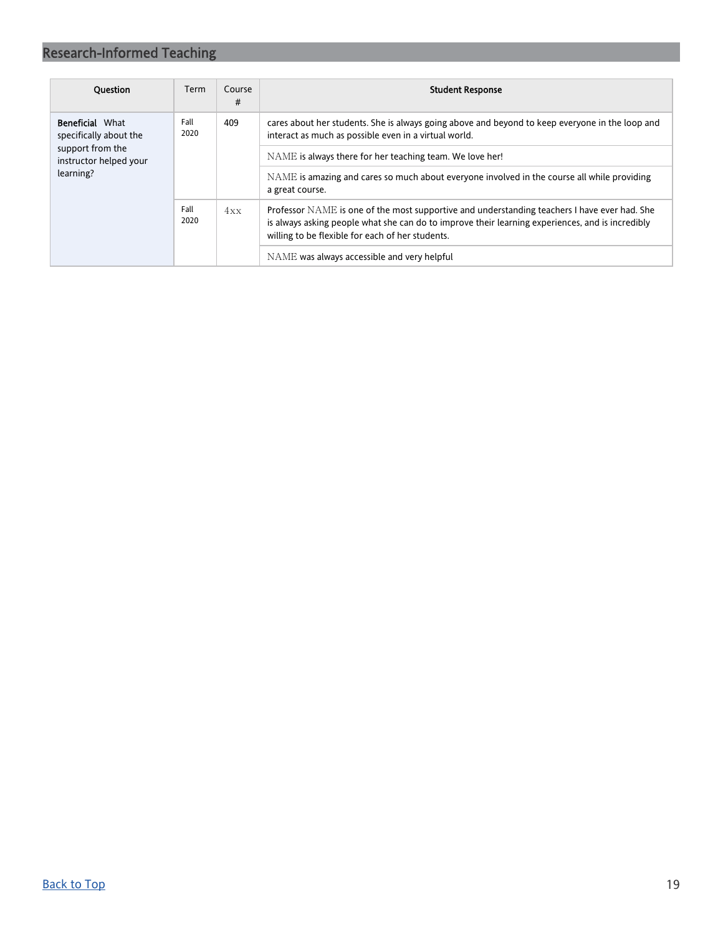| <b>Ouestion</b>                                  | Term         | Course<br># | <b>Student Response</b>                                                                                                                                                                                                                              |
|--------------------------------------------------|--------------|-------------|------------------------------------------------------------------------------------------------------------------------------------------------------------------------------------------------------------------------------------------------------|
| <b>Beneficial What</b><br>specifically about the | Fall<br>2020 | 409         | cares about her students. She is always going above and beyond to keep everyone in the loop and<br>interact as much as possible even in a virtual world.                                                                                             |
| support from the<br>instructor helped your       | Fall<br>2020 |             | NAME is always there for her teaching team. We love her!                                                                                                                                                                                             |
| learning?                                        |              |             | NAME is amazing and cares so much about everyone involved in the course all while providing<br>a great course.                                                                                                                                       |
|                                                  |              | 4xx         | Professor NAME is one of the most supportive and understanding teachers I have ever had. She<br>is always asking people what she can do to improve their learning experiences, and is incredibly<br>willing to be flexible for each of her students. |
|                                                  |              |             | NAME was always accessible and very helpful                                                                                                                                                                                                          |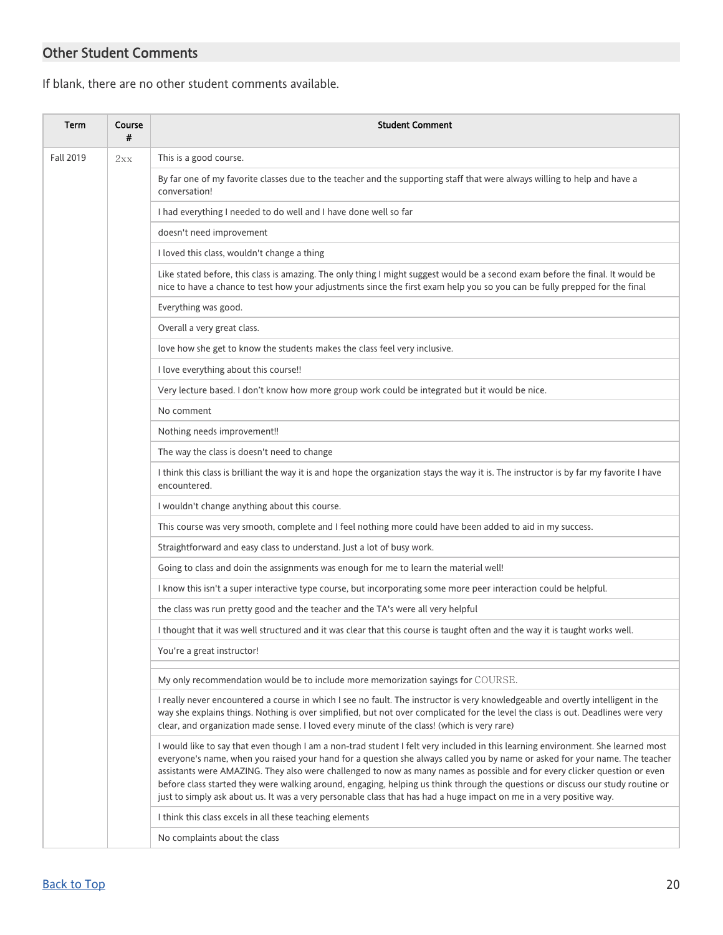## <span id="page-19-0"></span>Other Student Comments

If blank, there are no other student comments available.

| <b>Term</b>      | Course<br># | <b>Student Comment</b>                                                                                                                                                                                                                                                                                                                                                                                                                                                                                                                                                                                                                                   |
|------------------|-------------|----------------------------------------------------------------------------------------------------------------------------------------------------------------------------------------------------------------------------------------------------------------------------------------------------------------------------------------------------------------------------------------------------------------------------------------------------------------------------------------------------------------------------------------------------------------------------------------------------------------------------------------------------------|
| <b>Fall 2019</b> | 2xx         | This is a good course.                                                                                                                                                                                                                                                                                                                                                                                                                                                                                                                                                                                                                                   |
|                  |             | By far one of my favorite classes due to the teacher and the supporting staff that were always willing to help and have a<br>conversation!                                                                                                                                                                                                                                                                                                                                                                                                                                                                                                               |
|                  |             | I had everything I needed to do well and I have done well so far                                                                                                                                                                                                                                                                                                                                                                                                                                                                                                                                                                                         |
|                  |             | doesn't need improvement                                                                                                                                                                                                                                                                                                                                                                                                                                                                                                                                                                                                                                 |
|                  |             | I loved this class, wouldn't change a thing                                                                                                                                                                                                                                                                                                                                                                                                                                                                                                                                                                                                              |
|                  |             | Like stated before, this class is amazing. The only thing I might suggest would be a second exam before the final. It would be<br>nice to have a chance to test how your adjustments since the first exam help you so you can be fully prepped for the final                                                                                                                                                                                                                                                                                                                                                                                             |
|                  |             | Everything was good.                                                                                                                                                                                                                                                                                                                                                                                                                                                                                                                                                                                                                                     |
|                  |             | Overall a very great class.                                                                                                                                                                                                                                                                                                                                                                                                                                                                                                                                                                                                                              |
|                  |             | love how she get to know the students makes the class feel very inclusive.                                                                                                                                                                                                                                                                                                                                                                                                                                                                                                                                                                               |
|                  |             | I love everything about this course!!                                                                                                                                                                                                                                                                                                                                                                                                                                                                                                                                                                                                                    |
|                  |             | Very lecture based. I don't know how more group work could be integrated but it would be nice.                                                                                                                                                                                                                                                                                                                                                                                                                                                                                                                                                           |
|                  |             | No comment                                                                                                                                                                                                                                                                                                                                                                                                                                                                                                                                                                                                                                               |
|                  |             | Nothing needs improvement!!                                                                                                                                                                                                                                                                                                                                                                                                                                                                                                                                                                                                                              |
|                  |             | The way the class is doesn't need to change                                                                                                                                                                                                                                                                                                                                                                                                                                                                                                                                                                                                              |
|                  |             | I think this class is brilliant the way it is and hope the organization stays the way it is. The instructor is by far my favorite I have<br>encountered.                                                                                                                                                                                                                                                                                                                                                                                                                                                                                                 |
|                  |             | I wouldn't change anything about this course.                                                                                                                                                                                                                                                                                                                                                                                                                                                                                                                                                                                                            |
|                  |             | This course was very smooth, complete and I feel nothing more could have been added to aid in my success.                                                                                                                                                                                                                                                                                                                                                                                                                                                                                                                                                |
|                  |             | Straightforward and easy class to understand. Just a lot of busy work.                                                                                                                                                                                                                                                                                                                                                                                                                                                                                                                                                                                   |
|                  |             | Going to class and doin the assignments was enough for me to learn the material well!                                                                                                                                                                                                                                                                                                                                                                                                                                                                                                                                                                    |
|                  |             | I know this isn't a super interactive type course, but incorporating some more peer interaction could be helpful.                                                                                                                                                                                                                                                                                                                                                                                                                                                                                                                                        |
|                  |             | the class was run pretty good and the teacher and the TA's were all very helpful                                                                                                                                                                                                                                                                                                                                                                                                                                                                                                                                                                         |
|                  |             | I thought that it was well structured and it was clear that this course is taught often and the way it is taught works well.                                                                                                                                                                                                                                                                                                                                                                                                                                                                                                                             |
|                  |             | You're a great instructor!                                                                                                                                                                                                                                                                                                                                                                                                                                                                                                                                                                                                                               |
|                  |             | My only recommendation would be to include more memorization sayings for COURSE.                                                                                                                                                                                                                                                                                                                                                                                                                                                                                                                                                                         |
|                  |             | I really never encountered a course in which I see no fault. The instructor is very knowledgeable and overtly intelligent in the<br>way she explains things. Nothing is over simplified, but not over complicated for the level the class is out. Deadlines were very<br>clear, and organization made sense. I loved every minute of the class! (which is very rare)                                                                                                                                                                                                                                                                                     |
|                  |             | I would like to say that even though I am a non-trad student I felt very included in this learning environment. She learned most<br>everyone's name, when you raised your hand for a question she always called you by name or asked for your name. The teacher<br>assistants were AMAZING. They also were challenged to now as many names as possible and for every clicker question or even<br>before class started they were walking around, engaging, helping us think through the questions or discuss our study routine or<br>just to simply ask about us. It was a very personable class that has had a huge impact on me in a very positive way. |
|                  |             | I think this class excels in all these teaching elements                                                                                                                                                                                                                                                                                                                                                                                                                                                                                                                                                                                                 |
|                  |             | No complaints about the class                                                                                                                                                                                                                                                                                                                                                                                                                                                                                                                                                                                                                            |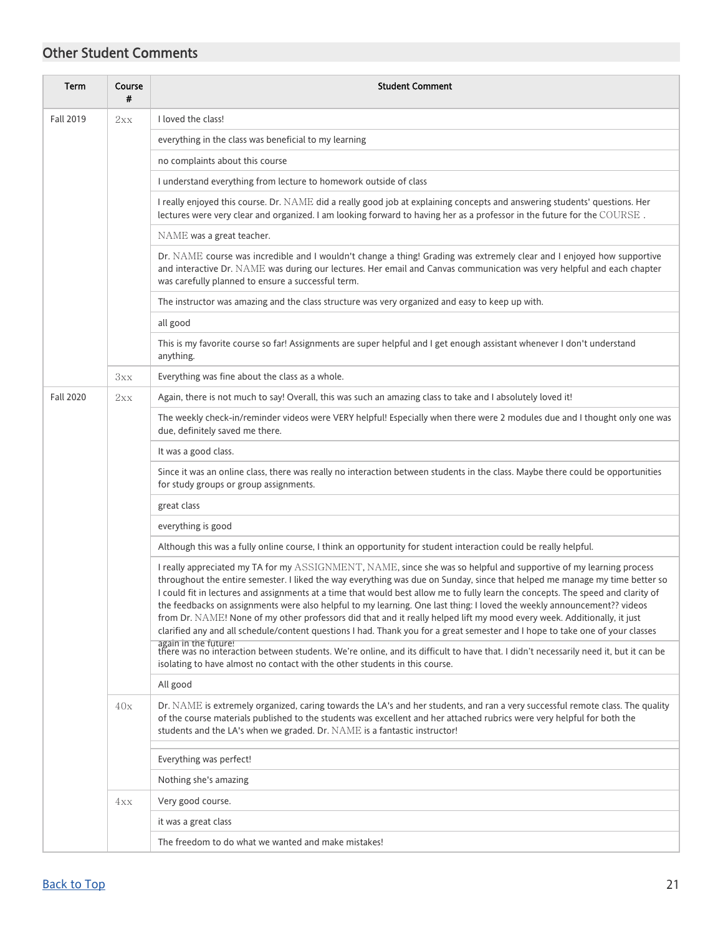## Other Student Comments

| <b>Term</b>      | Course<br># | <b>Student Comment</b>                                                                                                                                                                                                                                                                                                                                                                                                                                                                                                                                                                                                                                                                                                                                                       |
|------------------|-------------|------------------------------------------------------------------------------------------------------------------------------------------------------------------------------------------------------------------------------------------------------------------------------------------------------------------------------------------------------------------------------------------------------------------------------------------------------------------------------------------------------------------------------------------------------------------------------------------------------------------------------------------------------------------------------------------------------------------------------------------------------------------------------|
| <b>Fall 2019</b> | 2xx         | I loved the class!                                                                                                                                                                                                                                                                                                                                                                                                                                                                                                                                                                                                                                                                                                                                                           |
|                  |             | everything in the class was beneficial to my learning                                                                                                                                                                                                                                                                                                                                                                                                                                                                                                                                                                                                                                                                                                                        |
|                  |             | no complaints about this course                                                                                                                                                                                                                                                                                                                                                                                                                                                                                                                                                                                                                                                                                                                                              |
|                  |             | I understand everything from lecture to homework outside of class                                                                                                                                                                                                                                                                                                                                                                                                                                                                                                                                                                                                                                                                                                            |
|                  |             | I really enjoyed this course. Dr. NAME did a really good job at explaining concepts and answering students' questions. Her<br>lectures were very clear and organized. I am looking forward to having her as a professor in the future for the COURSE.                                                                                                                                                                                                                                                                                                                                                                                                                                                                                                                        |
|                  |             | NAME was a great teacher.                                                                                                                                                                                                                                                                                                                                                                                                                                                                                                                                                                                                                                                                                                                                                    |
|                  |             | Dr. NAME course was incredible and I wouldn't change a thing! Grading was extremely clear and I enjoyed how supportive<br>and interactive Dr. NAME was during our lectures. Her email and Canvas communication was very helpful and each chapter<br>was carefully planned to ensure a successful term.                                                                                                                                                                                                                                                                                                                                                                                                                                                                       |
|                  |             | The instructor was amazing and the class structure was very organized and easy to keep up with.                                                                                                                                                                                                                                                                                                                                                                                                                                                                                                                                                                                                                                                                              |
|                  |             | all good                                                                                                                                                                                                                                                                                                                                                                                                                                                                                                                                                                                                                                                                                                                                                                     |
|                  |             | This is my favorite course so far! Assignments are super helpful and I get enough assistant whenever I don't understand<br>anything.                                                                                                                                                                                                                                                                                                                                                                                                                                                                                                                                                                                                                                         |
|                  | 3xx         | Everything was fine about the class as a whole.                                                                                                                                                                                                                                                                                                                                                                                                                                                                                                                                                                                                                                                                                                                              |
| <b>Fall 2020</b> | 2xx         | Again, there is not much to say! Overall, this was such an amazing class to take and I absolutely loved it!                                                                                                                                                                                                                                                                                                                                                                                                                                                                                                                                                                                                                                                                  |
|                  |             | The weekly check-in/reminder videos were VERY helpful! Especially when there were 2 modules due and I thought only one was<br>due, definitely saved me there.                                                                                                                                                                                                                                                                                                                                                                                                                                                                                                                                                                                                                |
|                  |             | It was a good class.                                                                                                                                                                                                                                                                                                                                                                                                                                                                                                                                                                                                                                                                                                                                                         |
|                  |             | Since it was an online class, there was really no interaction between students in the class. Maybe there could be opportunities<br>for study groups or group assignments.                                                                                                                                                                                                                                                                                                                                                                                                                                                                                                                                                                                                    |
|                  |             | great class                                                                                                                                                                                                                                                                                                                                                                                                                                                                                                                                                                                                                                                                                                                                                                  |
|                  |             | everything is good                                                                                                                                                                                                                                                                                                                                                                                                                                                                                                                                                                                                                                                                                                                                                           |
|                  |             | Although this was a fully online course, I think an opportunity for student interaction could be really helpful.                                                                                                                                                                                                                                                                                                                                                                                                                                                                                                                                                                                                                                                             |
|                  |             | I really appreciated my TA for my ASSIGNMENT, NAME, since she was so helpful and supportive of my learning process<br>throughout the entire semester. I liked the way everything was due on Sunday, since that helped me manage my time better so<br>I could fit in lectures and assignments at a time that would best allow me to fully learn the concepts. The speed and clarity of<br>the feedbacks on assignments were also helpful to my learning. One last thing: I loved the weekly announcement?? videos<br>from Dr. NAME! None of my other professors did that and it really helped lift my mood every week. Additionally, it just<br>clarified any and all schedule/content questions I had. Thank you for a great semester and I hope to take one of your classes |
|                  |             | again in the future!<br>there was no interaction between students. We're online, and its difficult to have that. I didn't necessarily need it, but it can be<br>isolating to have almost no contact with the other students in this course.                                                                                                                                                                                                                                                                                                                                                                                                                                                                                                                                  |
|                  |             | All good                                                                                                                                                                                                                                                                                                                                                                                                                                                                                                                                                                                                                                                                                                                                                                     |
|                  | 40x         | Dr. NAME is extremely organized, caring towards the LA's and her students, and ran a very successful remote class. The quality<br>of the course materials published to the students was excellent and her attached rubrics were very helpful for both the<br>students and the LA's when we graded. Dr. NAME is a fantastic instructor!                                                                                                                                                                                                                                                                                                                                                                                                                                       |
|                  |             | Everything was perfect!                                                                                                                                                                                                                                                                                                                                                                                                                                                                                                                                                                                                                                                                                                                                                      |
|                  |             | Nothing she's amazing                                                                                                                                                                                                                                                                                                                                                                                                                                                                                                                                                                                                                                                                                                                                                        |
|                  | 4xx         | Very good course.                                                                                                                                                                                                                                                                                                                                                                                                                                                                                                                                                                                                                                                                                                                                                            |
|                  |             | it was a great class                                                                                                                                                                                                                                                                                                                                                                                                                                                                                                                                                                                                                                                                                                                                                         |
|                  |             | The freedom to do what we wanted and make mistakes!                                                                                                                                                                                                                                                                                                                                                                                                                                                                                                                                                                                                                                                                                                                          |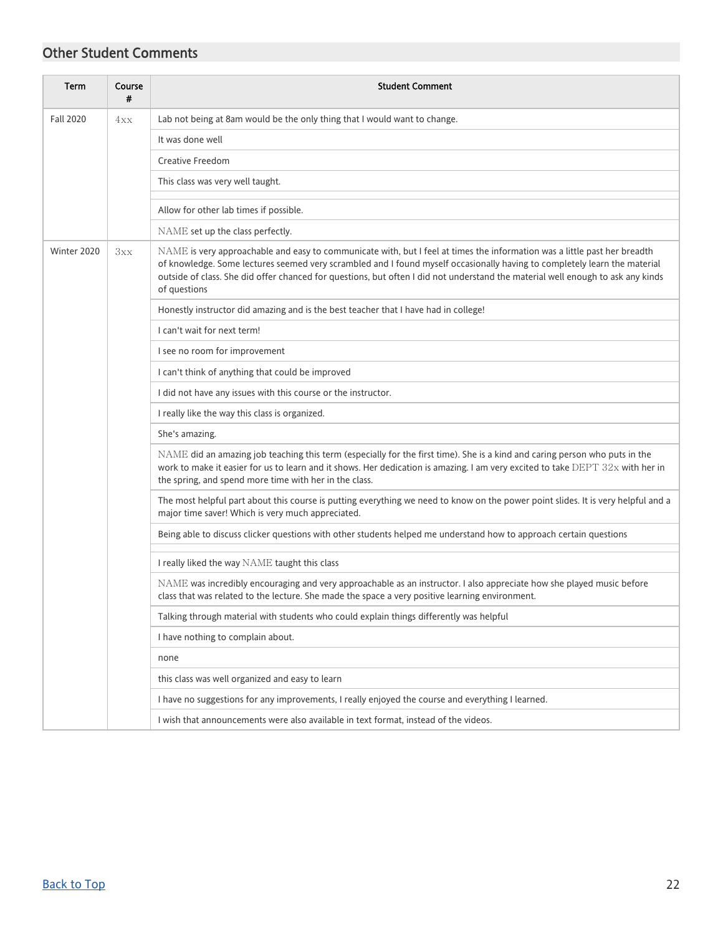## Other Student Comments

| <b>Term</b>      | Course<br># | <b>Student Comment</b>                                                                                                                                                                                                                                                                                                                                                                                    |
|------------------|-------------|-----------------------------------------------------------------------------------------------------------------------------------------------------------------------------------------------------------------------------------------------------------------------------------------------------------------------------------------------------------------------------------------------------------|
| <b>Fall 2020</b> | 4xx         | Lab not being at 8am would be the only thing that I would want to change.                                                                                                                                                                                                                                                                                                                                 |
|                  |             | It was done well                                                                                                                                                                                                                                                                                                                                                                                          |
|                  |             | <b>Creative Freedom</b>                                                                                                                                                                                                                                                                                                                                                                                   |
|                  |             | This class was very well taught.                                                                                                                                                                                                                                                                                                                                                                          |
|                  |             | Allow for other lab times if possible.                                                                                                                                                                                                                                                                                                                                                                    |
|                  |             | NAME set up the class perfectly.                                                                                                                                                                                                                                                                                                                                                                          |
| Winter 2020      | 3xx         | NAME is very approachable and easy to communicate with, but I feel at times the information was a little past her breadth<br>of knowledge. Some lectures seemed very scrambled and I found myself occasionally having to completely learn the material<br>outside of class. She did offer chanced for questions, but often I did not understand the material well enough to ask any kinds<br>of questions |
|                  |             | Honestly instructor did amazing and is the best teacher that I have had in college!                                                                                                                                                                                                                                                                                                                       |
|                  |             | I can't wait for next term!                                                                                                                                                                                                                                                                                                                                                                               |
|                  |             | I see no room for improvement                                                                                                                                                                                                                                                                                                                                                                             |
|                  |             | I can't think of anything that could be improved                                                                                                                                                                                                                                                                                                                                                          |
|                  |             | I did not have any issues with this course or the instructor.                                                                                                                                                                                                                                                                                                                                             |
|                  |             | I really like the way this class is organized.                                                                                                                                                                                                                                                                                                                                                            |
|                  |             | She's amazing.                                                                                                                                                                                                                                                                                                                                                                                            |
|                  |             | NAME did an amazing job teaching this term (especially for the first time). She is a kind and caring person who puts in the<br>work to make it easier for us to learn and it shows. Her dedication is amazing. I am very excited to take DEPT 32x with her in<br>the spring, and spend more time with her in the class.                                                                                   |
|                  |             | The most helpful part about this course is putting everything we need to know on the power point slides. It is very helpful and a<br>major time saver! Which is very much appreciated.                                                                                                                                                                                                                    |
|                  |             | Being able to discuss clicker questions with other students helped me understand how to approach certain questions                                                                                                                                                                                                                                                                                        |
|                  |             | I really liked the way NAME taught this class                                                                                                                                                                                                                                                                                                                                                             |
|                  |             | NAME was incredibly encouraging and very approachable as an instructor. I also appreciate how she played music before<br>class that was related to the lecture. She made the space a very positive learning environment.                                                                                                                                                                                  |
|                  |             | Talking through material with students who could explain things differently was helpful                                                                                                                                                                                                                                                                                                                   |
|                  |             | I have nothing to complain about.                                                                                                                                                                                                                                                                                                                                                                         |
|                  |             | none                                                                                                                                                                                                                                                                                                                                                                                                      |
|                  |             | this class was well organized and easy to learn                                                                                                                                                                                                                                                                                                                                                           |
|                  |             | I have no suggestions for any improvements, I really enjoyed the course and everything I learned.                                                                                                                                                                                                                                                                                                         |
|                  |             | I wish that announcements were also available in text format, instead of the videos.                                                                                                                                                                                                                                                                                                                      |